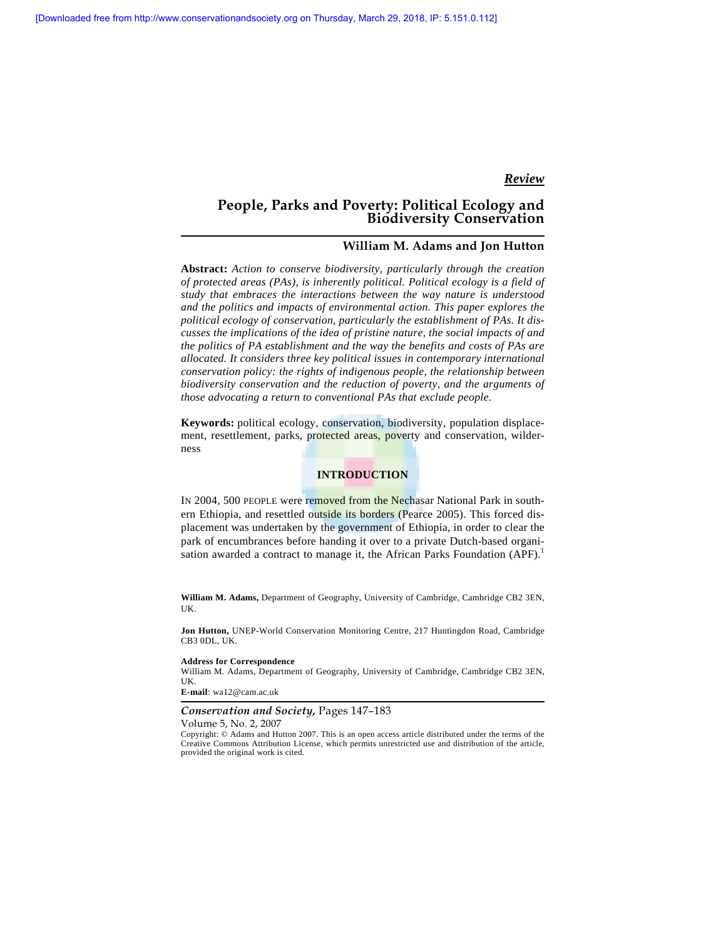# *Review*

# **People, Parks and Poverty: Political Ecology and Biodiversity Conservation**

## **William M. Adams and Jon Hutton**

**Abstract:** *Action to conserve biodiversity, particularly through the creation of protected areas (PAs), is inherently political. Political ecology is a field of study that embraces the interactions between the way nature is understood and the politics and impacts of environmental action. This paper explores the political ecology of conservation, particularly the establishment of PAs. It discusses the implications of the idea of pristine nature, the social impacts of and the politics of PA establishment and the way the benefits and costs of PAs are allocated. It considers three key political issues in contemporary international conservation policy: the rights of indigenous people, the relationship between biodiversity conservation and the reduction of poverty, and the arguments of those advocating a return to conventional PAs that exclude people.* 

**Keywords:** political ecology, conservation, biodiversity, population displacement, resettlement, parks, protected areas, poverty and conservation, wilderness

## **INTRODUCTION**

IN 2004, 500 PEOPLE were removed from the Nechasar National Park in southern Ethiopia, and resettled outside its borders (Pearce 2005). This forced displacement was undertaken by the government of Ethiopia, in order to clear the park of encumbrances before handing it over to a private Dutch-based organisation awarded a contract to manage it, the African Parks Foundation  $(APF)$ .<sup>1</sup>

**William M. Adams,** Department of Geography, University of Cambridge, Cambridge CB2 3EN, UK.

**Jon Hutton,** UNEP-World Conservation Monitoring Centre, 217 Huntingdon Road, Cambridge CB3 0DL, UK.

#### **Address for Correspondence**

William M. Adams, Department of Geography, University of Cambridge, Cambridge CB2 3EN, UK.

**E-mail**: wa12@cam.ac.uk

## *Conservation and Society,* Pages 147–183

Volume 5, No. 2, 2007

Copyright: © Adams and Hutton 2007. This is an open access article distributed under the terms of the Creative Commons Attribution License, which permits unrestricted use and distribution of the article, provided the original work is cited.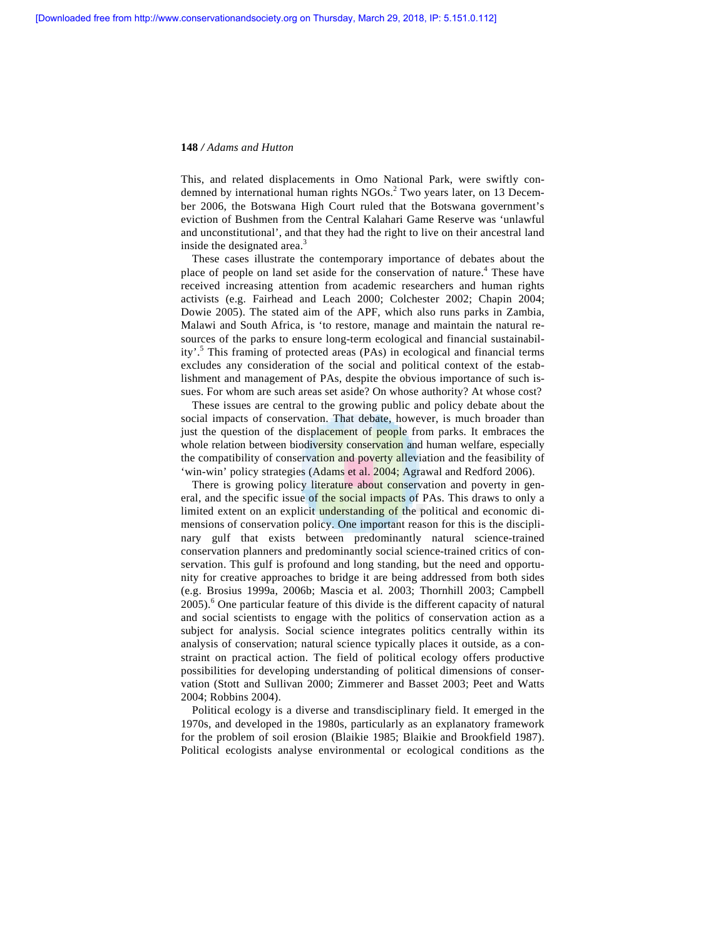This, and related displacements in Omo National Park, were swiftly condemned by international human rights NGOs.<sup>2</sup> Two years later, on 13 December 2006, the Botswana High Court ruled that the Botswana government's eviction of Bushmen from the Central Kalahari Game Reserve was 'unlawful and unconstitutional', and that they had the right to live on their ancestral land inside the designated area.<sup>3</sup>

 These cases illustrate the contemporary importance of debates about the place of people on land set aside for the conservation of nature.<sup>4</sup> These have received increasing attention from academic researchers and human rights activists (e.g. Fairhead and Leach 2000; Colchester 2002; Chapin 2004; Dowie 2005). The stated aim of the APF, which also runs parks in Zambia, Malawi and South Africa, is 'to restore, manage and maintain the natural resources of the parks to ensure long-term ecological and financial sustainability'.<sup>5</sup> This framing of protected areas (PAs) in ecological and financial terms excludes any consideration of the social and political context of the establishment and management of PAs, despite the obvious importance of such issues. For whom are such areas set aside? On whose authority? At whose cost?

 These issues are central to the growing public and policy debate about the social impacts of conservation. That debate, however, is much broader than just the question of the displacement of people from parks. It embraces the whole relation between biodiversity conservation and human welfare, especially the compatibility of conservation and poverty alleviation and the feasibility of 'win-win' policy strategies (Adams et al. 2004; Agrawal and Redford 2006).

There is growing policy literature about conservation and poverty in general, and the specific issue of the social impacts of PAs. This draws to only a limited extent on an explicit understanding of the political and economic dimensions of conservation policy. One important reason for this is the disciplinary gulf that exists between predominantly natural science-trained conservation planners and predominantly social science-trained critics of conservation. This gulf is profound and long standing, but the need and opportunity for creative approaches to bridge it are being addressed from both sides (e.g. Brosius 1999a, 2006b; Mascia et al*.* 2003; Thornhill 2003; Campbell 2005).<sup>6</sup> One particular feature of this divide is the different capacity of natural and social scientists to engage with the politics of conservation action as a subject for analysis. Social science integrates politics centrally within its analysis of conservation; natural science typically places it outside, as a constraint on practical action. The field of political ecology offers productive possibilities for developing understanding of political dimensions of conservation (Stott and Sullivan 2000; Zimmerer and Basset 2003; Peet and Watts 2004; Robbins 2004).

 Political ecology is a diverse and transdisciplinary field. It emerged in the 1970s, and developed in the 1980s, particularly as an explanatory framework for the problem of soil erosion (Blaikie 1985; Blaikie and Brookfield 1987). Political ecologists analyse environmental or ecological conditions as the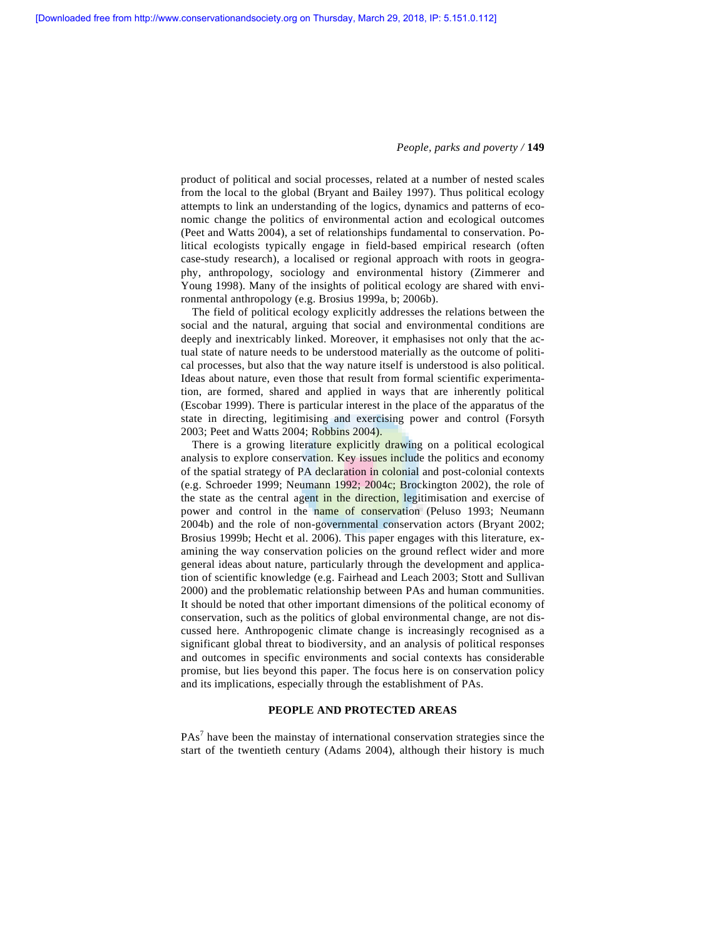product of political and social processes, related at a number of nested scales from the local to the global (Bryant and Bailey 1997). Thus political ecology attempts to link an understanding of the logics, dynamics and patterns of economic change the politics of environmental action and ecological outcomes (Peet and Watts 2004), a set of relationships fundamental to conservation. Political ecologists typically engage in field-based empirical research (often case-study research), a localised or regional approach with roots in geography, anthropology, sociology and environmental history (Zimmerer and Young 1998). Many of the insights of political ecology are shared with environmental anthropology (e.g. Brosius 1999a, b; 2006b).

 The field of political ecology explicitly addresses the relations between the social and the natural, arguing that social and environmental conditions are deeply and inextricably linked. Moreover, it emphasises not only that the actual state of nature needs to be understood materially as the outcome of political processes, but also that the way nature itself is understood is also political. Ideas about nature, even those that result from formal scientific experimentation, are formed, shared and applied in ways that are inherently political (Escobar 1999). There is particular interest in the place of the apparatus of the state in directing, legitimising and exercising power and control (Forsyth 2003; Peet and Watts 2004; Robbins 2004).

There is a growing literature explicitly drawing on a political ecological analysis to explore conservation. Key issues include the politics and economy of the spatial strategy of PA declaration in colonial and post-colonial contexts (e.g. Schroeder 1999; Neumann 1992; 2004c; Brockington 2002), the role of the state as the central agent in the direction, legitimisation and exercise of power and control in the name of conservation (Peluso 1993; Neumann 2004b) and the role of non-governmental conservation actors (Bryant 2002; Brosius 1999b; Hecht et al. 2006). This paper engages with this literature, examining the way conservation policies on the ground reflect wider and more general ideas about nature, particularly through the development and application of scientific knowledge (e.g. Fairhead and Leach 2003; Stott and Sullivan 2000) and the problematic relationship between PAs and human communities. It should be noted that other important dimensions of the political economy of conservation, such as the politics of global environmental change, are not discussed here. Anthropogenic climate change is increasingly recognised as a significant global threat to biodiversity, and an analysis of political responses and outcomes in specific environments and social contexts has considerable promise, but lies beyond this paper. The focus here is on conservation policy and its implications, especially through the establishment of PAs.

## **PEOPLE AND PROTECTED AREAS**

 $PAs<sup>7</sup>$  have been the mainstay of international conservation strategies since the start of the twentieth century (Adams 2004), although their history is much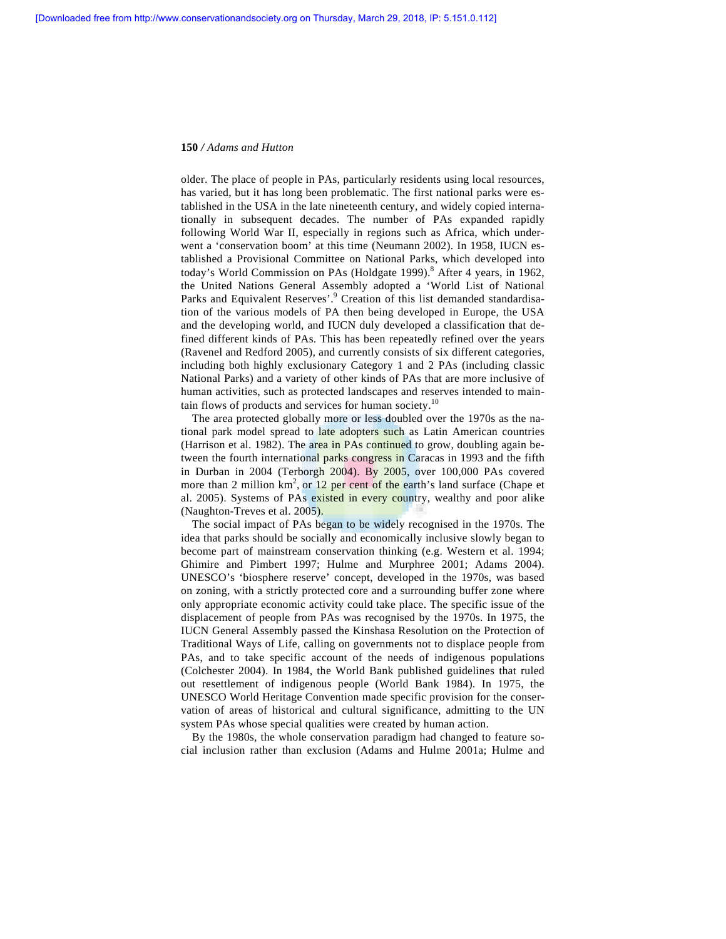older. The place of people in PAs, particularly residents using local resources, has varied, but it has long been problematic. The first national parks were established in the USA in the late nineteenth century, and widely copied internationally in subsequent decades. The number of PAs expanded rapidly following World War II, especially in regions such as Africa, which underwent a 'conservation boom' at this time (Neumann 2002). In 1958, IUCN established a Provisional Committee on National Parks, which developed into today's World Commission on PAs (Holdgate 1999).<sup>8</sup> After 4 years, in 1962, the United Nations General Assembly adopted a 'World List of National Parks and Equivalent Reserves'.<sup>9</sup> Creation of this list demanded standardisation of the various models of PA then being developed in Europe, the USA and the developing world, and IUCN duly developed a classification that defined different kinds of PAs. This has been repeatedly refined over the years (Ravenel and Redford 2005), and currently consists of six different categories, including both highly exclusionary Category 1 and 2 PAs (including classic National Parks) and a variety of other kinds of PAs that are more inclusive of human activities, such as protected landscapes and reserves intended to maintain flows of products and services for human society.<sup>10</sup>

 The area protected globally more or less doubled over the 1970s as the national park model spread to late adopters such as Latin American countries (Harrison et al. 1982). The area in PAs continued to grow, doubling again between the fourth international parks congress in Caracas in 1993 and the fifth in Durban in 2004 (Terborgh  $2004$ ). By  $2005$ , over 100,000 PAs covered more than 2 million  $km^2$ , or 12 per cent of the earth's land surface (Chape et al. 2005). Systems of PAs existed in every country, wealthy and poor alike (Naughton-Treves et al. 2005).

 The social impact of PAs began to be widely recognised in the 1970s. The idea that parks should be socially and economically inclusive slowly began to become part of mainstream conservation thinking (e.g. Western et al. 1994; Ghimire and Pimbert 1997; Hulme and Murphree 2001; Adams 2004). UNESCO's 'biosphere reserve' concept, developed in the 1970s, was based on zoning, with a strictly protected core and a surrounding buffer zone where only appropriate economic activity could take place. The specific issue of the displacement of people from PAs was recognised by the 1970s. In 1975, the IUCN General Assembly passed the Kinshasa Resolution on the Protection of Traditional Ways of Life, calling on governments not to displace people from PAs, and to take specific account of the needs of indigenous populations (Colchester 2004). In 1984, the World Bank published guidelines that ruled out resettlement of indigenous people (World Bank 1984). In 1975, the UNESCO World Heritage Convention made specific provision for the conservation of areas of historical and cultural significance, admitting to the UN system PAs whose special qualities were created by human action.

 By the 1980s, the whole conservation paradigm had changed to feature social inclusion rather than exclusion (Adams and Hulme 2001a; Hulme and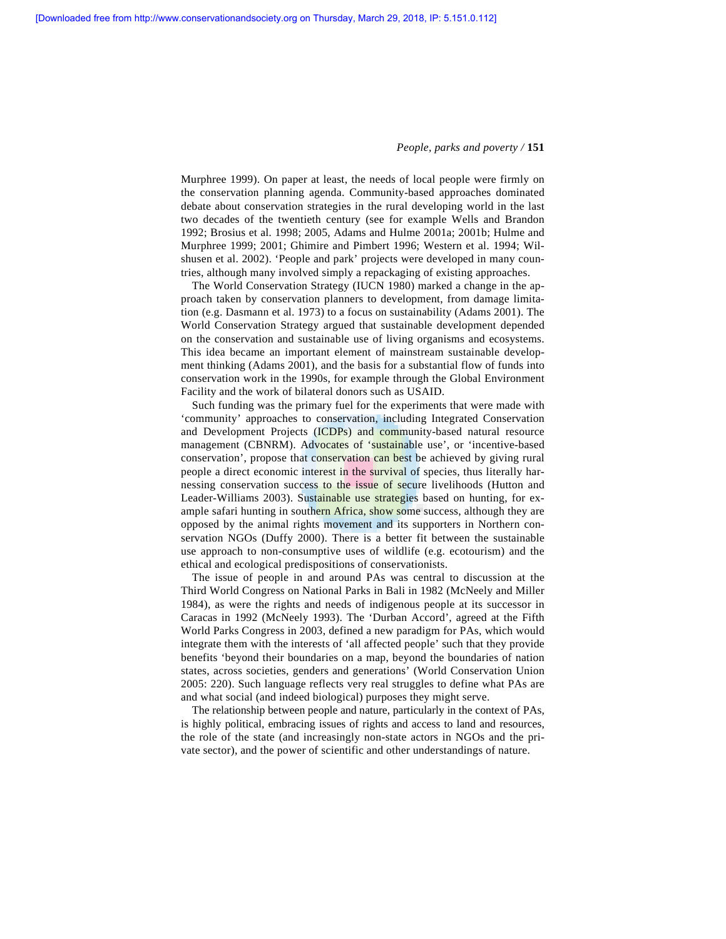Murphree 1999). On paper at least, the needs of local people were firmly on the conservation planning agenda. Community-based approaches dominated debate about conservation strategies in the rural developing world in the last two decades of the twentieth century (see for example Wells and Brandon 1992; Brosius et al*.* 1998; 2005, Adams and Hulme 2001a; 2001b; Hulme and Murphree 1999; 2001; Ghimire and Pimbert 1996; Western et al. 1994; Wilshusen et al. 2002). 'People and park' projects were developed in many countries, although many involved simply a repackaging of existing approaches.

 The World Conservation Strategy (IUCN 1980) marked a change in the approach taken by conservation planners to development, from damage limitation (e.g. Dasmann et al. 1973) to a focus on sustainability (Adams 2001). The World Conservation Strategy argued that sustainable development depended on the conservation and sustainable use of living organisms and ecosystems. This idea became an important element of mainstream sustainable development thinking (Adams 2001), and the basis for a substantial flow of funds into conservation work in the 1990s, for example through the Global Environment Facility and the work of bilateral donors such as USAID.

 Such funding was the primary fuel for the experiments that were made with 'community' approaches to conservation, including Integrated Conservation and Development Projects (ICDPs) and community-based natural resource management (CBNRM). Advocates of 'sustainable use', or 'incentive-based conservation', propose that conservation can best be achieved by giving rural people a direct economic interest in the survival of species, thus literally harnessing conservation success to the issue of secure livelihoods (Hutton and Leader-Williams 2003). Sustainable use strategies based on hunting, for example safari hunting in southern Africa, show some success, although they are opposed by the animal rights movement and its supporters in Northern conservation NGOs (Duffy 2000). There is a better fit between the sustainable use approach to non-consumptive uses of wildlife (e.g. ecotourism) and the ethical and ecological predispositions of conservationists.

 The issue of people in and around PAs was central to discussion at the Third World Congress on National Parks in Bali in 1982 (McNeely and Miller 1984), as were the rights and needs of indigenous people at its successor in Caracas in 1992 (McNeely 1993). The 'Durban Accord', agreed at the Fifth World Parks Congress in 2003, defined a new paradigm for PAs, which would integrate them with the interests of 'all affected people' such that they provide benefits 'beyond their boundaries on a map, beyond the boundaries of nation states, across societies, genders and generations' (World Conservation Union 2005: 220). Such language reflects very real struggles to define what PAs are and what social (and indeed biological) purposes they might serve.

 The relationship between people and nature, particularly in the context of PAs, is highly political, embracing issues of rights and access to land and resources, the role of the state (and increasingly non-state actors in NGOs and the private sector), and the power of scientific and other understandings of nature.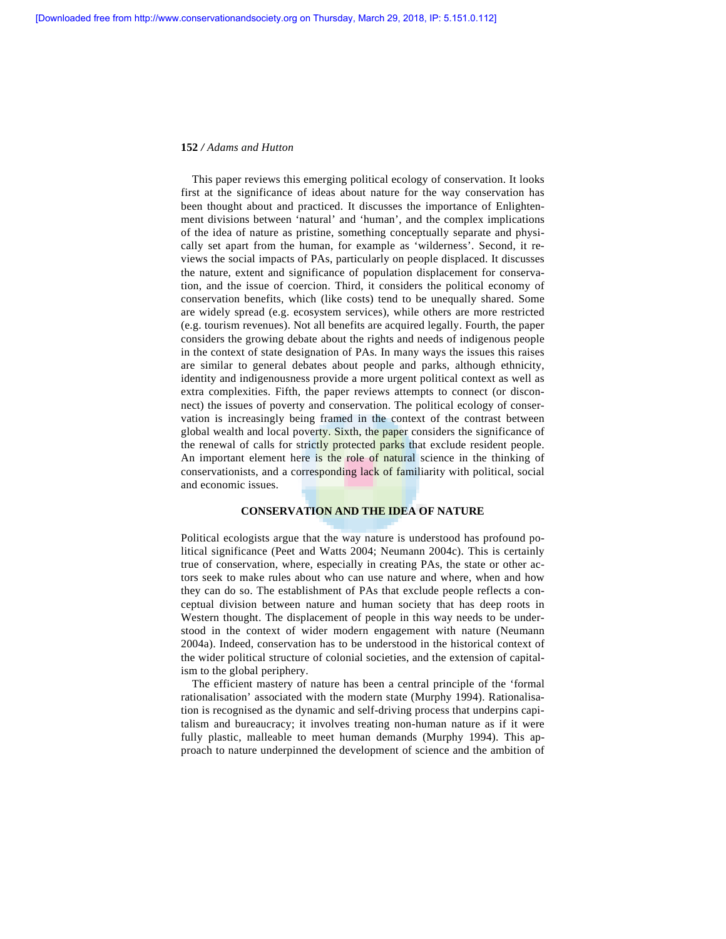This paper reviews this emerging political ecology of conservation. It looks first at the significance of ideas about nature for the way conservation has been thought about and practiced. It discusses the importance of Enlightenment divisions between 'natural' and 'human', and the complex implications of the idea of nature as pristine, something conceptually separate and physically set apart from the human, for example as 'wilderness'. Second, it reviews the social impacts of PAs, particularly on people displaced. It discusses the nature, extent and significance of population displacement for conservation, and the issue of coercion. Third, it considers the political economy of conservation benefits, which (like costs) tend to be unequally shared. Some are widely spread (e.g. ecosystem services), while others are more restricted (e.g. tourism revenues). Not all benefits are acquired legally. Fourth, the paper considers the growing debate about the rights and needs of indigenous people in the context of state designation of PAs. In many ways the issues this raises are similar to general debates about people and parks, although ethnicity, identity and indigenousness provide a more urgent political context as well as extra complexities. Fifth, the paper reviews attempts to connect (or disconnect) the issues of poverty and conservation. The political ecology of conservation is increasingly being framed in the context of the contrast between global wealth and local poverty. Sixth, the paper considers the significance of the renewal of calls for strictly protected parks that exclude resident people. An important element here is the role of natural science in the thinking of conservationists, and a corresponding lack of familiarity with political, social and economic issues.

## **CONSERVATION AND THE IDEA OF NATURE**

Political ecologists argue that the way nature is understood has profound political significance (Peet and Watts 2004; Neumann 2004c). This is certainly true of conservation, where, especially in creating PAs, the state or other actors seek to make rules about who can use nature and where, when and how they can do so. The establishment of PAs that exclude people reflects a conceptual division between nature and human society that has deep roots in Western thought. The displacement of people in this way needs to be understood in the context of wider modern engagement with nature (Neumann 2004a). Indeed, conservation has to be understood in the historical context of the wider political structure of colonial societies, and the extension of capitalism to the global periphery.

 The efficient mastery of nature has been a central principle of the 'formal rationalisation' associated with the modern state (Murphy 1994). Rationalisation is recognised as the dynamic and self-driving process that underpins capitalism and bureaucracy; it involves treating non-human nature as if it were fully plastic, malleable to meet human demands (Murphy 1994). This approach to nature underpinned the development of science and the ambition of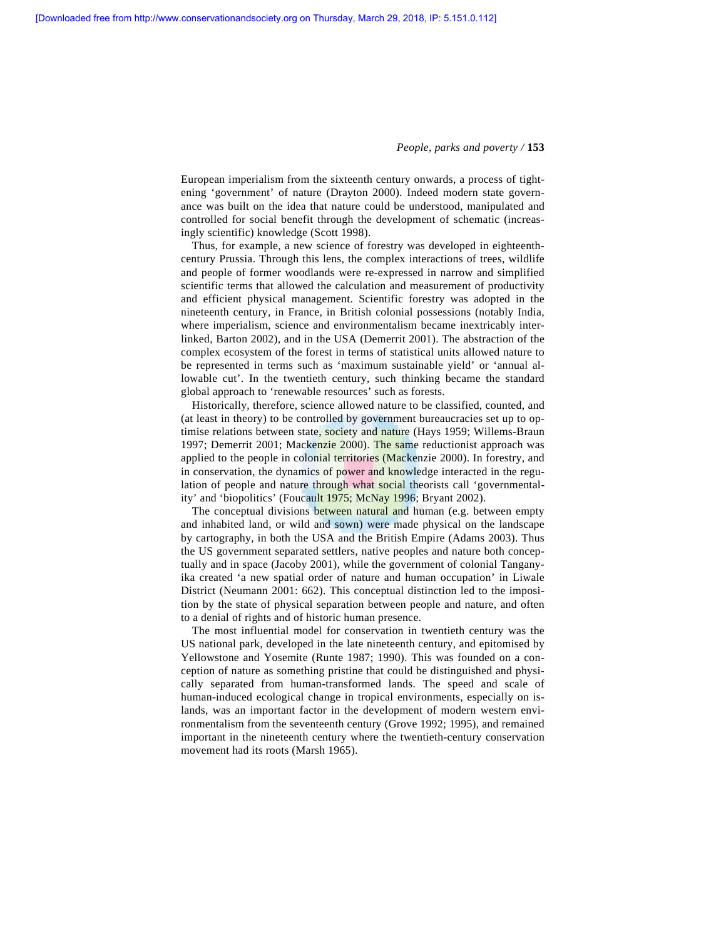European imperialism from the sixteenth century onwards, a process of tightening 'government' of nature (Drayton 2000). Indeed modern state governance was built on the idea that nature could be understood, manipulated and controlled for social benefit through the development of schematic (increasingly scientific) knowledge (Scott 1998).

 Thus, for example, a new science of forestry was developed in eighteenthcentury Prussia. Through this lens, the complex interactions of trees, wildlife and people of former woodlands were re-expressed in narrow and simplified scientific terms that allowed the calculation and measurement of productivity and efficient physical management. Scientific forestry was adopted in the nineteenth century, in France, in British colonial possessions (notably India, where imperialism, science and environmentalism became inextricably interlinked, Barton 2002), and in the USA (Demerrit 2001). The abstraction of the complex ecosystem of the forest in terms of statistical units allowed nature to be represented in terms such as 'maximum sustainable yield' or 'annual allowable cut'. In the twentieth century, such thinking became the standard global approach to 'renewable resources' such as forests.

 Historically, therefore, science allowed nature to be classified, counted, and (at least in theory) to be controlled by government bureaucracies set up to optimise relations between state, society and nature (Hays 1959; Willems-Braun 1997; Demerrit 2001; Mackenzie 2000). The same reductionist approach was applied to the people in colonial territories (Mackenzie 2000). In forestry, and in conservation, the dynamics of power and knowledge interacted in the regulation of people and nature through what social theorists call 'governmentality' and 'biopolitics' (Foucault 1975; McNay 1996; Bryant 2002).

 The conceptual divisions between natural and human (e.g. between empty and inhabited land, or wild and sown) were made physical on the landscape by cartography, in both the USA and the British Empire (Adams 2003). Thus the US government separated settlers, native peoples and nature both conceptually and in space (Jacoby 2001), while the government of colonial Tanganyika created 'a new spatial order of nature and human occupation' in Liwale District (Neumann 2001: 662). This conceptual distinction led to the imposition by the state of physical separation between people and nature, and often to a denial of rights and of historic human presence.

 The most influential model for conservation in twentieth century was the US national park, developed in the late nineteenth century, and epitomised by Yellowstone and Yosemite (Runte 1987; 1990). This was founded on a conception of nature as something pristine that could be distinguished and physically separated from human-transformed lands. The speed and scale of human-induced ecological change in tropical environments, especially on islands, was an important factor in the development of modern western environmentalism from the seventeenth century (Grove 1992; 1995), and remained important in the nineteenth century where the twentieth-century conservation movement had its roots (Marsh 1965).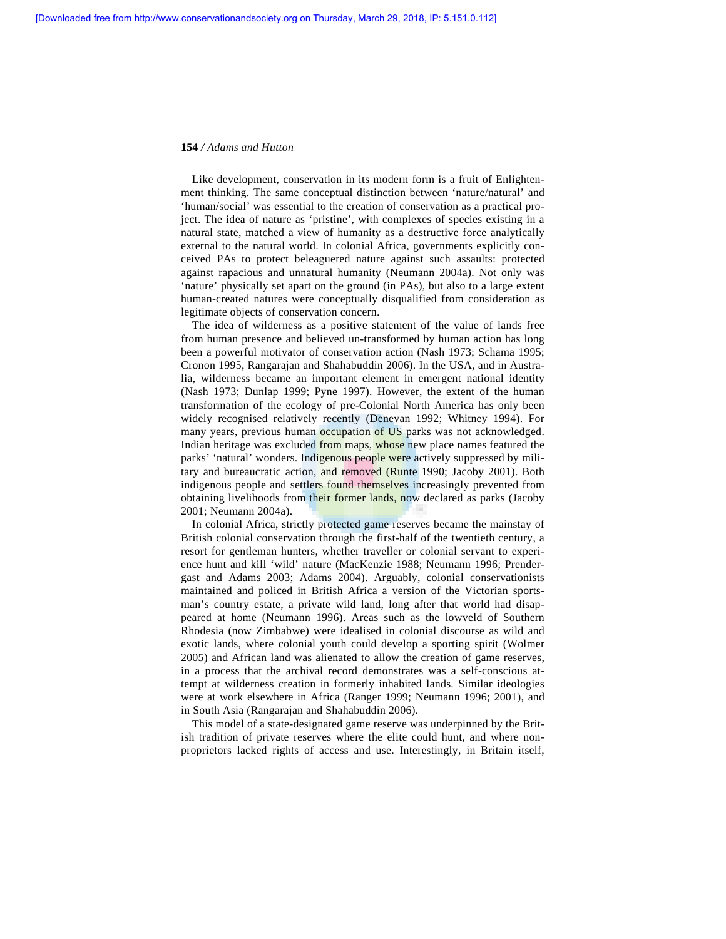Like development, conservation in its modern form is a fruit of Enlightenment thinking. The same conceptual distinction between 'nature/natural' and 'human/social' was essential to the creation of conservation as a practical project. The idea of nature as 'pristine', with complexes of species existing in a natural state, matched a view of humanity as a destructive force analytically external to the natural world. In colonial Africa, governments explicitly conceived PAs to protect beleaguered nature against such assaults: protected against rapacious and unnatural humanity (Neumann 2004a). Not only was 'nature' physically set apart on the ground (in PAs), but also to a large extent human-created natures were conceptually disqualified from consideration as legitimate objects of conservation concern.

 The idea of wilderness as a positive statement of the value of lands free from human presence and believed un-transformed by human action has long been a powerful motivator of conservation action (Nash 1973; Schama 1995; Cronon 1995, Rangarajan and Shahabuddin 2006). In the USA, and in Australia, wilderness became an important element in emergent national identity (Nash 1973; Dunlap 1999; Pyne 1997). However, the extent of the human transformation of the ecology of pre-Colonial North America has only been widely recognised relatively recently (Denevan 1992; Whitney 1994). For many years, previous human occupation of US parks was not acknowledged. Indian heritage was excluded from maps, whose new place names featured the parks' 'natural' wonders. Indigenous people were actively suppressed by military and bureaucratic action, and removed (Runte 1990; Jacoby 2001). Both indigenous people and settlers found themselves increasingly prevented from obtaining livelihoods from their former lands, now declared as parks (Jacoby 2001; Neumann 2004a).

 In colonial Africa, strictly protected game reserves became the mainstay of British colonial conservation through the first-half of the twentieth century, a resort for gentleman hunters, whether traveller or colonial servant to experience hunt and kill 'wild' nature (MacKenzie 1988; Neumann 1996; Prendergast and Adams 2003; Adams 2004). Arguably, colonial conservationists maintained and policed in British Africa a version of the Victorian sportsman's country estate, a private wild land, long after that world had disappeared at home (Neumann 1996). Areas such as the lowveld of Southern Rhodesia (now Zimbabwe) were idealised in colonial discourse as wild and exotic lands, where colonial youth could develop a sporting spirit (Wolmer 2005) and African land was alienated to allow the creation of game reserves, in a process that the archival record demonstrates was a self-conscious attempt at wilderness creation in formerly inhabited lands. Similar ideologies were at work elsewhere in Africa (Ranger 1999; Neumann 1996; 2001), and in South Asia (Rangarajan and Shahabuddin 2006).

 This model of a state-designated game reserve was underpinned by the British tradition of private reserves where the elite could hunt, and where nonproprietors lacked rights of access and use. Interestingly, in Britain itself,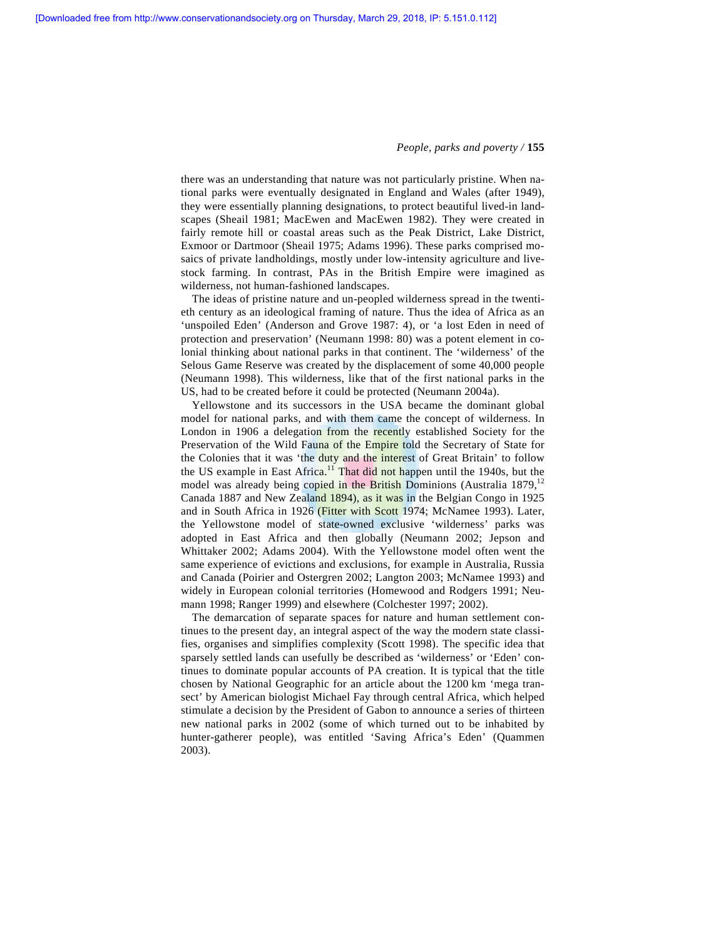there was an understanding that nature was not particularly pristine. When national parks were eventually designated in England and Wales (after 1949), they were essentially planning designations, to protect beautiful lived-in landscapes (Sheail 1981; MacEwen and MacEwen 1982). They were created in fairly remote hill or coastal areas such as the Peak District, Lake District, Exmoor or Dartmoor (Sheail 1975; Adams 1996). These parks comprised mosaics of private landholdings, mostly under low-intensity agriculture and livestock farming. In contrast, PAs in the British Empire were imagined as wilderness, not human-fashioned landscapes.

 The ideas of pristine nature and un-peopled wilderness spread in the twentieth century as an ideological framing of nature. Thus the idea of Africa as an 'unspoiled Eden' (Anderson and Grove 1987: 4), or 'a lost Eden in need of protection and preservation' (Neumann 1998: 80) was a potent element in colonial thinking about national parks in that continent. The 'wilderness' of the Selous Game Reserve was created by the displacement of some 40,000 people (Neumann 1998). This wilderness, like that of the first national parks in the US, had to be created before it could be protected (Neumann 2004a).

 Yellowstone and its successors in the USA became the dominant global model for national parks, and with them came the concept of wilderness. In London in 1906 a delegation from the recently established Society for the Preservation of the Wild Fauna of the Empire told the Secretary of State for the Colonies that it was 'the duty and the interest of Great Britain' to follow the US example in East Africa.<sup>11</sup> That did not happen until the 1940s, but the model was already being copied in the British Dominions (Australia 1879, $^{12}$ ) Canada 1887 and New Zealand 1894), as it was in the Belgian Congo in 1925 and in South Africa in 1926 (Fitter with Scott 1974; McNamee 1993). Later, the Yellowstone model of state-owned exclusive 'wilderness' parks was adopted in East Africa and then globally (Neumann 2002; Jepson and Whittaker 2002; Adams 2004). With the Yellowstone model often went the same experience of evictions and exclusions, for example in Australia, Russia and Canada (Poirier and Ostergren 2002; Langton 2003; McNamee 1993) and widely in European colonial territories (Homewood and Rodgers 1991; Neumann 1998; Ranger 1999) and elsewhere (Colchester 1997; 2002).

 The demarcation of separate spaces for nature and human settlement continues to the present day, an integral aspect of the way the modern state classifies, organises and simplifies complexity (Scott 1998). The specific idea that sparsely settled lands can usefully be described as 'wilderness' or 'Eden' continues to dominate popular accounts of PA creation. It is typical that the title chosen by National Geographic for an article about the 1200 km 'mega transect' by American biologist Michael Fay through central Africa, which helped stimulate a decision by the President of Gabon to announce a series of thirteen new national parks in 2002 (some of which turned out to be inhabited by hunter-gatherer people), was entitled 'Saving Africa's Eden' (Quammen 2003).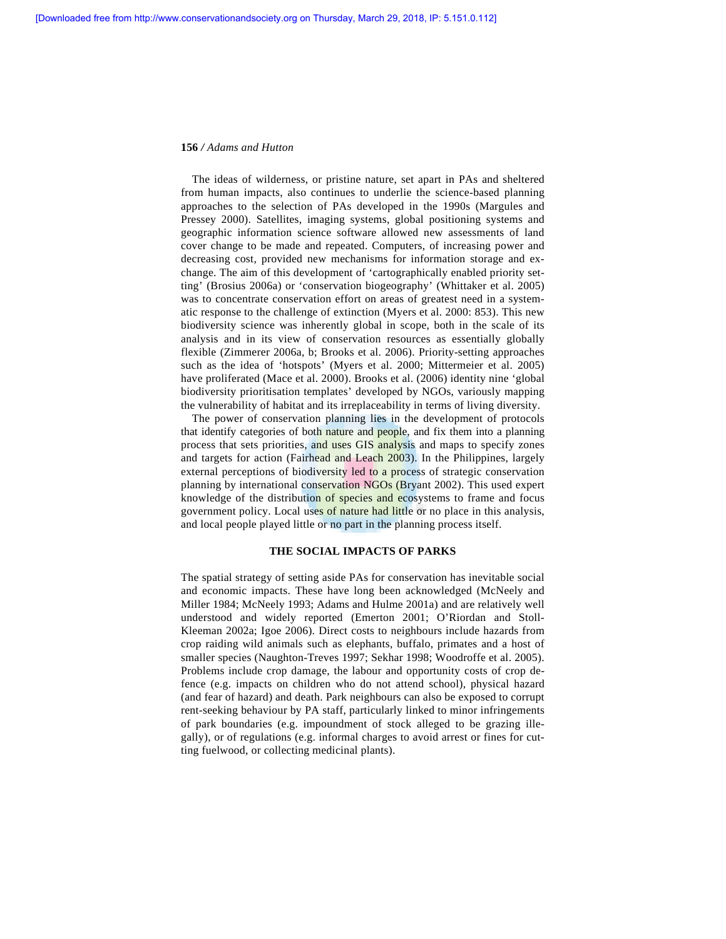The ideas of wilderness, or pristine nature, set apart in PAs and sheltered from human impacts, also continues to underlie the science-based planning approaches to the selection of PAs developed in the 1990s (Margules and Pressey 2000). Satellites, imaging systems, global positioning systems and geographic information science software allowed new assessments of land cover change to be made and repeated. Computers, of increasing power and decreasing cost, provided new mechanisms for information storage and exchange. The aim of this development of 'cartographically enabled priority setting' (Brosius 2006a) or 'conservation biogeography' (Whittaker et al. 2005) was to concentrate conservation effort on areas of greatest need in a systematic response to the challenge of extinction (Myers et al. 2000: 853). This new biodiversity science was inherently global in scope, both in the scale of its analysis and in its view of conservation resources as essentially globally flexible (Zimmerer 2006a, b; Brooks et al. 2006). Priority-setting approaches such as the idea of 'hotspots' (Myers et al. 2000; Mittermeier et al. 2005) have proliferated (Mace et al. 2000). Brooks et al. (2006) identity nine 'global biodiversity prioritisation templates' developed by NGOs, variously mapping the vulnerability of habitat and its irreplaceability in terms of living diversity.

 The power of conservation planning lies in the development of protocols that identify categories of both nature and people, and fix them into a planning process that sets priorities, and uses GIS analysis and maps to specify zones and targets for action (Fairhead and Leach 2003). In the Philippines, largely external perceptions of biodiversity led to a process of strategic conservation planning by international conservation NGOs (Bryant 2002). This used expert knowledge of the distribution of species and ecosystems to frame and focus government policy. Local uses of nature had little or no place in this analysis, and local people played little or no part in the planning process itself.

## **THE SOCIAL IMPACTS OF PARKS**

The spatial strategy of setting aside PAs for conservation has inevitable social and economic impacts. These have long been acknowledged (McNeely and Miller 1984; McNeely 1993; Adams and Hulme 2001a) and are relatively well understood and widely reported (Emerton 2001; O'Riordan and Stoll-Kleeman 2002a; Igoe 2006). Direct costs to neighbours include hazards from crop raiding wild animals such as elephants, buffalo, primates and a host of smaller species (Naughton-Treves 1997; Sekhar 1998; Woodroffe et al. 2005). Problems include crop damage, the labour and opportunity costs of crop defence (e.g. impacts on children who do not attend school), physical hazard (and fear of hazard) and death. Park neighbours can also be exposed to corrupt rent-seeking behaviour by PA staff, particularly linked to minor infringements of park boundaries (e.g. impoundment of stock alleged to be grazing illegally), or of regulations (e.g. informal charges to avoid arrest or fines for cutting fuelwood, or collecting medicinal plants).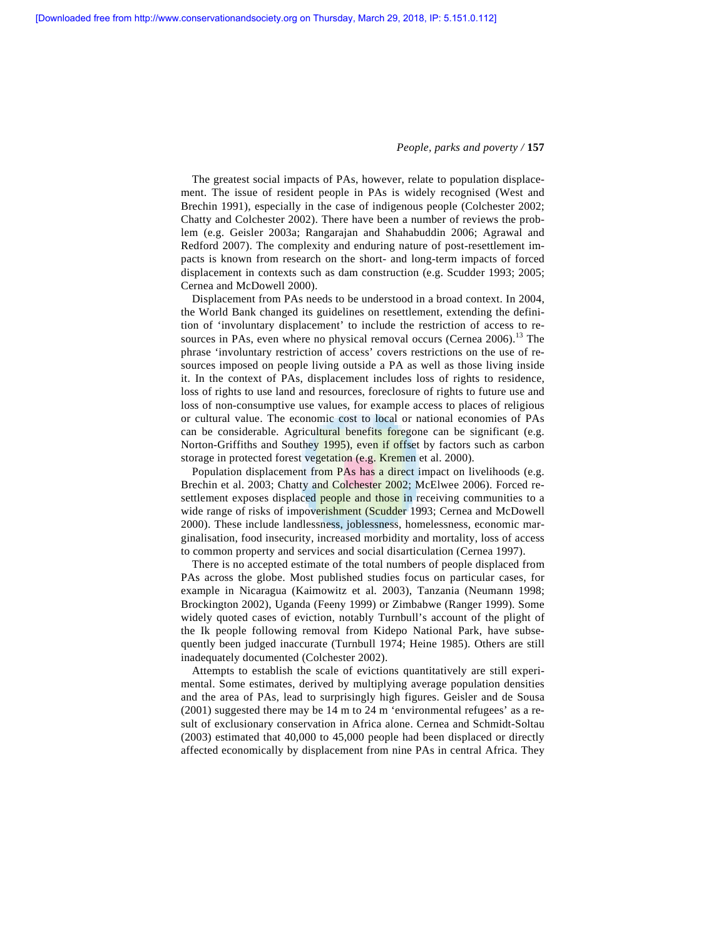The greatest social impacts of PAs, however, relate to population displacement. The issue of resident people in PAs is widely recognised (West and Brechin 1991), especially in the case of indigenous people (Colchester 2002; Chatty and Colchester 2002). There have been a number of reviews the problem (e.g. Geisler 2003a; Rangarajan and Shahabuddin 2006; Agrawal and Redford 2007). The complexity and enduring nature of post-resettlement impacts is known from research on the short- and long-term impacts of forced displacement in contexts such as dam construction (e.g. Scudder 1993; 2005; Cernea and McDowell 2000).

 Displacement from PAs needs to be understood in a broad context. In 2004, the World Bank changed its guidelines on resettlement, extending the definition of 'involuntary displacement' to include the restriction of access to resources in PAs, even where no physical removal occurs (Cernea  $2006$ ).<sup>13</sup> The phrase 'involuntary restriction of access' covers restrictions on the use of resources imposed on people living outside a PA as well as those living inside it. In the context of PAs, displacement includes loss of rights to residence, loss of rights to use land and resources, foreclosure of rights to future use and loss of non-consumptive use values, for example access to places of religious or cultural value. The economic cost to local or national economies of PAs can be considerable. Agricultural benefits foregone can be significant (e.g. Norton-Griffiths and Southey 1995), even if offset by factors such as carbon storage in protected forest vegetation (e.g. Kremen et al. 2000).

 Population displacement from PAs has a direct impact on livelihoods (e.g. Brechin et al. 2003; Chatty and Colchester 2002; McElwee 2006). Forced resettlement exposes displaced people and those in receiving communities to a wide range of risks of impoverishment (Scudder 1993; Cernea and McDowell 2000). These include landlessness, joblessness, homelessness, economic marginalisation, food insecurity, increased morbidity and mortality, loss of access to common property and services and social disarticulation (Cernea 1997).

 There is no accepted estimate of the total numbers of people displaced from PAs across the globe. Most published studies focus on particular cases, for example in Nicaragua (Kaimowitz et al*.* 2003), Tanzania (Neumann 1998; Brockington 2002), Uganda (Feeny 1999) or Zimbabwe (Ranger 1999). Some widely quoted cases of eviction, notably Turnbull's account of the plight of the Ik people following removal from Kidepo National Park, have subsequently been judged inaccurate (Turnbull 1974; Heine 1985). Others are still inadequately documented (Colchester 2002).

 Attempts to establish the scale of evictions quantitatively are still experimental. Some estimates, derived by multiplying average population densities and the area of PAs, lead to surprisingly high figures. Geisler and de Sousa (2001) suggested there may be 14 m to 24 m 'environmental refugees' as a result of exclusionary conservation in Africa alone. Cernea and Schmidt-Soltau (2003) estimated that 40,000 to 45,000 people had been displaced or directly affected economically by displacement from nine PAs in central Africa. They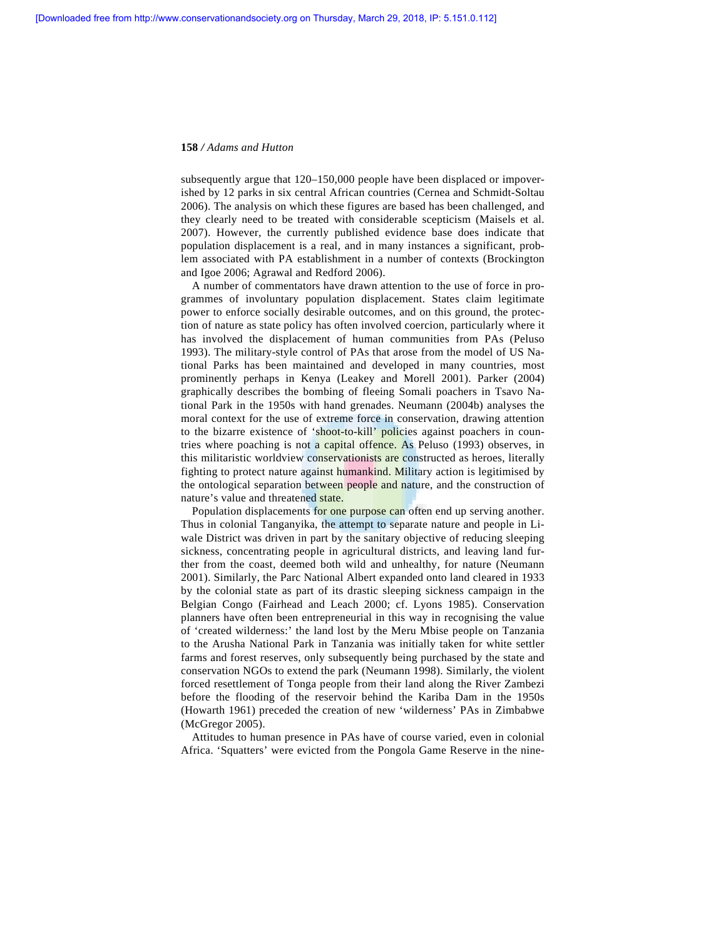subsequently argue that 120–150,000 people have been displaced or impoverished by 12 parks in six central African countries (Cernea and Schmidt-Soltau 2006). The analysis on which these figures are based has been challenged, and they clearly need to be treated with considerable scepticism (Maisels et al. 2007). However, the currently published evidence base does indicate that population displacement is a real, and in many instances a significant, problem associated with PA establishment in a number of contexts (Brockington and Igoe 2006; Agrawal and Redford 2006).

 A number of commentators have drawn attention to the use of force in programmes of involuntary population displacement. States claim legitimate power to enforce socially desirable outcomes, and on this ground, the protection of nature as state policy has often involved coercion, particularly where it has involved the displacement of human communities from PAs (Peluso 1993). The military-style control of PAs that arose from the model of US National Parks has been maintained and developed in many countries, most prominently perhaps in Kenya (Leakey and Morell 2001). Parker (2004) graphically describes the bombing of fleeing Somali poachers in Tsavo National Park in the 1950s with hand grenades. Neumann (2004b) analyses the moral context for the use of extreme force in conservation, drawing attention to the bizarre existence of 'shoot-to-kill' policies against poachers in countries where poaching is not a capital offence. As Peluso (1993) observes, in this militaristic worldview conservationists are constructed as heroes, literally fighting to protect nature against humankind. Military action is legitimised by the ontological separation between people and nature, and the construction of nature's value and threatened state.

 Population displacements for one purpose can often end up serving another. Thus in colonial Tanganyika, the attempt to separate nature and people in Liwale District was driven in part by the sanitary objective of reducing sleeping sickness, concentrating people in agricultural districts, and leaving land further from the coast, deemed both wild and unhealthy, for nature (Neumann 2001). Similarly, the Parc National Albert expanded onto land cleared in 1933 by the colonial state as part of its drastic sleeping sickness campaign in the Belgian Congo (Fairhead and Leach 2000; cf. Lyons 1985). Conservation planners have often been entrepreneurial in this way in recognising the value of 'created wilderness:' the land lost by the Meru Mbise people on Tanzania to the Arusha National Park in Tanzania was initially taken for white settler farms and forest reserves, only subsequently being purchased by the state and conservation NGOs to extend the park (Neumann 1998). Similarly, the violent forced resettlement of Tonga people from their land along the River Zambezi before the flooding of the reservoir behind the Kariba Dam in the 1950s (Howarth 1961) preceded the creation of new 'wilderness' PAs in Zimbabwe (McGregor 2005).

 Attitudes to human presence in PAs have of course varied, even in colonial Africa. 'Squatters' were evicted from the Pongola Game Reserve in the nine-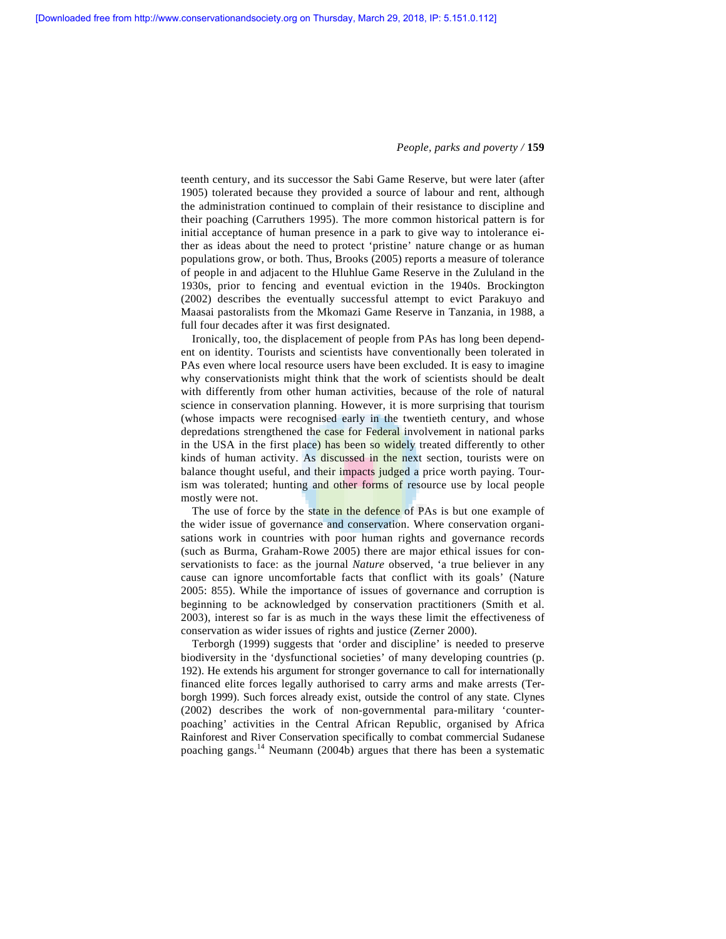teenth century, and its successor the Sabi Game Reserve, but were later (after 1905) tolerated because they provided a source of labour and rent, although the administration continued to complain of their resistance to discipline and their poaching (Carruthers 1995). The more common historical pattern is for initial acceptance of human presence in a park to give way to intolerance either as ideas about the need to protect 'pristine' nature change or as human populations grow, or both. Thus, Brooks (2005) reports a measure of tolerance of people in and adjacent to the Hluhlue Game Reserve in the Zululand in the 1930s, prior to fencing and eventual eviction in the 1940s. Brockington (2002) describes the eventually successful attempt to evict Parakuyo and Maasai pastoralists from the Mkomazi Game Reserve in Tanzania, in 1988, a full four decades after it was first designated.

 Ironically, too, the displacement of people from PAs has long been dependent on identity. Tourists and scientists have conventionally been tolerated in PAs even where local resource users have been excluded. It is easy to imagine why conservationists might think that the work of scientists should be dealt with differently from other human activities, because of the role of natural science in conservation planning. However, it is more surprising that tourism (whose impacts were recognised early in the twentieth century, and whose depredations strengthened the case for Federal involvement in national parks in the USA in the first place) has been so widely treated differently to other kinds of human activity. As discussed in the next section, tourists were on balance thought useful, and their impacts judged a price worth paying. Tourism was tolerated; hunting and other forms of resource use by local people mostly were not.

The use of force by the state in the defence of PAs is but one example of the wider issue of governance and conservation. Where conservation organisations work in countries with poor human rights and governance records (such as Burma, Graham-Rowe 2005) there are major ethical issues for conservationists to face: as the journal *Nature* observed, 'a true believer in any cause can ignore uncomfortable facts that conflict with its goals' (Nature 2005: 855). While the importance of issues of governance and corruption is beginning to be acknowledged by conservation practitioners (Smith et al. 2003), interest so far is as much in the ways these limit the effectiveness of conservation as wider issues of rights and justice (Zerner 2000).

 Terborgh (1999) suggests that 'order and discipline' is needed to preserve biodiversity in the 'dysfunctional societies' of many developing countries (p. 192). He extends his argument for stronger governance to call for internationally financed elite forces legally authorised to carry arms and make arrests (Terborgh 1999). Such forces already exist, outside the control of any state. Clynes (2002) describes the work of non-governmental para-military 'counterpoaching' activities in the Central African Republic, organised by Africa Rainforest and River Conservation specifically to combat commercial Sudanese poaching gangs.14 Neumann (2004b) argues that there has been a systematic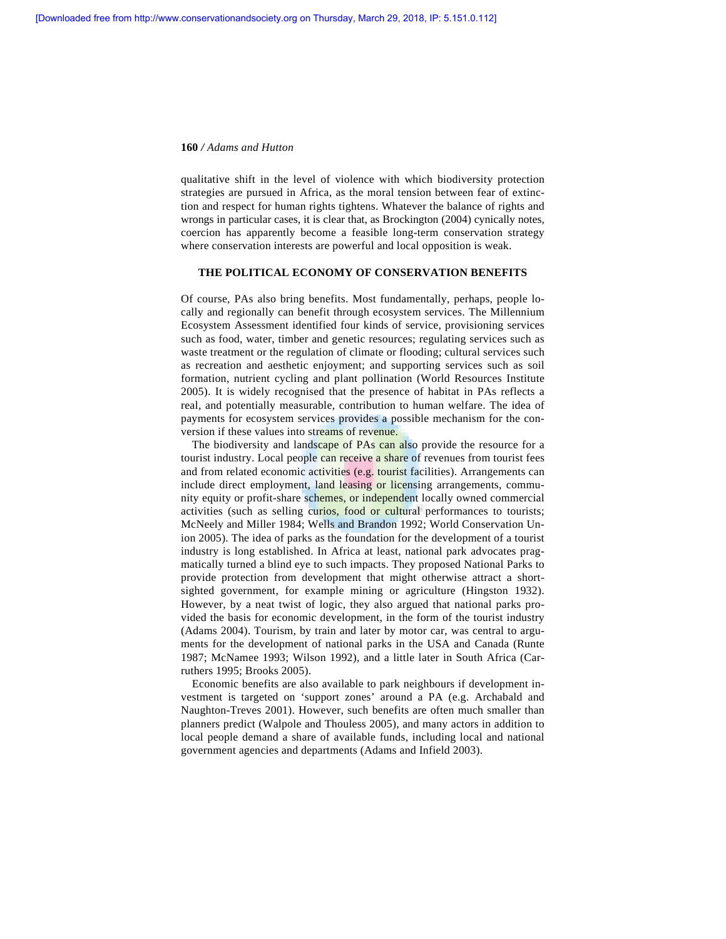qualitative shift in the level of violence with which biodiversity protection strategies are pursued in Africa, as the moral tension between fear of extinction and respect for human rights tightens. Whatever the balance of rights and wrongs in particular cases, it is clear that, as Brockington (2004) cynically notes, coercion has apparently become a feasible long-term conservation strategy where conservation interests are powerful and local opposition is weak.

## **THE POLITICAL ECONOMY OF CONSERVATION BENEFITS**

Of course, PAs also bring benefits. Most fundamentally, perhaps, people locally and regionally can benefit through ecosystem services. The Millennium Ecosystem Assessment identified four kinds of service, provisioning services such as food, water, timber and genetic resources; regulating services such as waste treatment or the regulation of climate or flooding; cultural services such as recreation and aesthetic enjoyment; and supporting services such as soil formation, nutrient cycling and plant pollination (World Resources Institute 2005). It is widely recognised that the presence of habitat in PAs reflects a real, and potentially measurable, contribution to human welfare. The idea of payments for ecosystem services provides a possible mechanism for the conversion if these values into streams of revenue.

The biodiversity and landscape of PAs can also provide the resource for a tourist industry. Local people can receive a share of revenues from tourist fees and from related economic activities (e.g. tourist facilities). Arrangements can include direct employment, land leasing or licensing arrangements, community equity or profit-share schemes, or independent locally owned commercial activities (such as selling curios, food or cultural performances to tourists; McNeely and Miller 1984; Wells and Brandon 1992; World Conservation Union 2005). The idea of parks as the foundation for the development of a tourist industry is long established. In Africa at least, national park advocates pragmatically turned a blind eye to such impacts. They proposed National Parks to provide protection from development that might otherwise attract a shortsighted government, for example mining or agriculture (Hingston 1932). However, by a neat twist of logic, they also argued that national parks provided the basis for economic development, in the form of the tourist industry (Adams 2004). Tourism, by train and later by motor car, was central to arguments for the development of national parks in the USA and Canada (Runte 1987; McNamee 1993; Wilson 1992), and a little later in South Africa (Carruthers 1995; Brooks 2005).

 Economic benefits are also available to park neighbours if development investment is targeted on 'support zones' around a PA (e.g. Archabald and Naughton-Treves 2001). However, such benefits are often much smaller than planners predict (Walpole and Thouless 2005), and many actors in addition to local people demand a share of available funds, including local and national government agencies and departments (Adams and Infield 2003).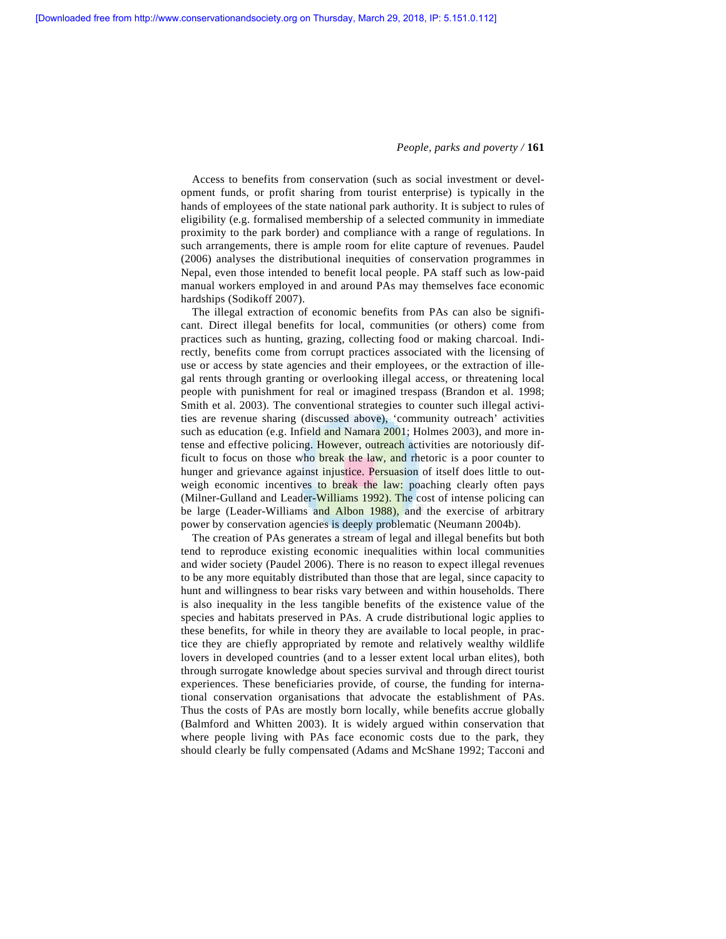Access to benefits from conservation (such as social investment or development funds, or profit sharing from tourist enterprise) is typically in the hands of employees of the state national park authority. It is subject to rules of eligibility (e.g. formalised membership of a selected community in immediate proximity to the park border) and compliance with a range of regulations. In such arrangements, there is ample room for elite capture of revenues. Paudel (2006) analyses the distributional inequities of conservation programmes in Nepal, even those intended to benefit local people. PA staff such as low-paid manual workers employed in and around PAs may themselves face economic hardships (Sodikoff 2007).

 The illegal extraction of economic benefits from PAs can also be significant. Direct illegal benefits for local, communities (or others) come from practices such as hunting, grazing, collecting food or making charcoal. Indirectly, benefits come from corrupt practices associated with the licensing of use or access by state agencies and their employees, or the extraction of illegal rents through granting or overlooking illegal access, or threatening local people with punishment for real or imagined trespass (Brandon et al. 1998; Smith et al. 2003). The conventional strategies to counter such illegal activities are revenue sharing (discussed above), 'community outreach' activities such as education (e.g. Infield and Namara 2001; Holmes 2003), and more intense and effective policing. However, outreach activities are notoriously difficult to focus on those who break the law, and rhetoric is a poor counter to hunger and grievance against injustice. Persuasion of itself does little to outweigh economic incentives to break the law: poaching clearly often pays (Milner-Gulland and Leader-Williams 1992). The cost of intense policing can be large (Leader-Williams and Albon 1988), and the exercise of arbitrary power by conservation agencies is deeply problematic (Neumann 2004b).

 The creation of PAs generates a stream of legal and illegal benefits but both tend to reproduce existing economic inequalities within local communities and wider society (Paudel 2006). There is no reason to expect illegal revenues to be any more equitably distributed than those that are legal, since capacity to hunt and willingness to bear risks vary between and within households. There is also inequality in the less tangible benefits of the existence value of the species and habitats preserved in PAs. A crude distributional logic applies to these benefits, for while in theory they are available to local people, in practice they are chiefly appropriated by remote and relatively wealthy wildlife lovers in developed countries (and to a lesser extent local urban elites), both through surrogate knowledge about species survival and through direct tourist experiences. These beneficiaries provide, of course, the funding for international conservation organisations that advocate the establishment of PAs. Thus the costs of PAs are mostly born locally, while benefits accrue globally (Balmford and Whitten 2003). It is widely argued within conservation that where people living with PAs face economic costs due to the park, they should clearly be fully compensated (Adams and McShane 1992; Tacconi and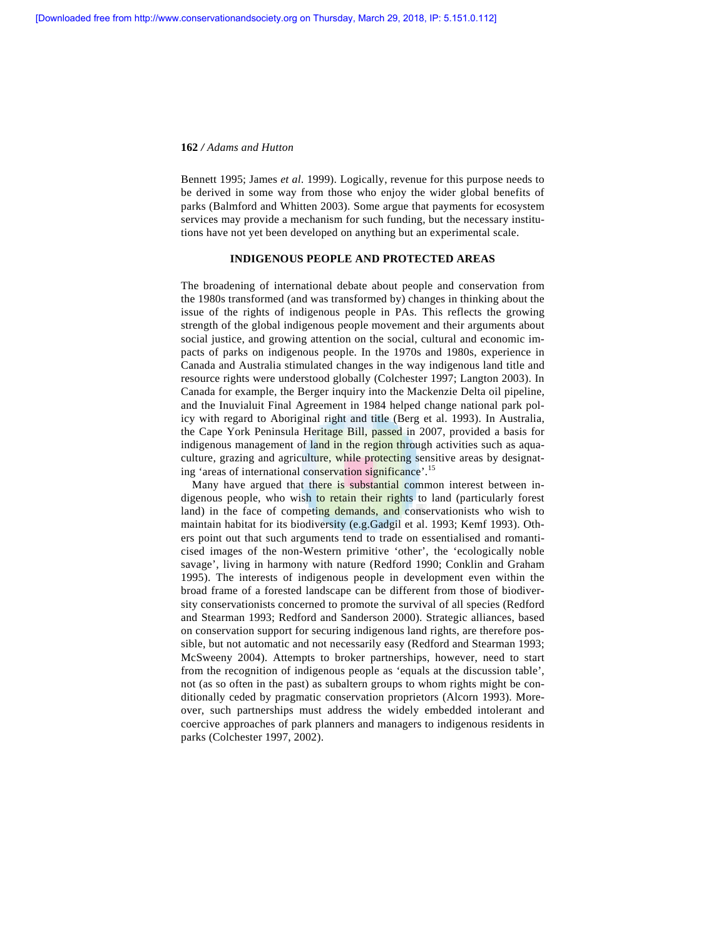Bennett 1995; James *et al.* 1999). Logically, revenue for this purpose needs to be derived in some way from those who enjoy the wider global benefits of parks (Balmford and Whitten 2003). Some argue that payments for ecosystem services may provide a mechanism for such funding, but the necessary institutions have not yet been developed on anything but an experimental scale.

## **INDIGENOUS PEOPLE AND PROTECTED AREAS**

The broadening of international debate about people and conservation from the 1980s transformed (and was transformed by) changes in thinking about the issue of the rights of indigenous people in PAs. This reflects the growing strength of the global indigenous people movement and their arguments about social justice, and growing attention on the social, cultural and economic impacts of parks on indigenous people. In the 1970s and 1980s, experience in Canada and Australia stimulated changes in the way indigenous land title and resource rights were understood globally (Colchester 1997; Langton 2003). In Canada for example, the Berger inquiry into the Mackenzie Delta oil pipeline, and the Inuvialuit Final Agreement in 1984 helped change national park policy with regard to Aboriginal right and title (Berg et al. 1993). In Australia, the Cape York Peninsula Heritage Bill, passed in 2007, provided a basis for indigenous management of land in the region through activities such as aquaculture, grazing and agriculture, while protecting sensitive areas by designating 'areas of international conservation significance'.<sup>15</sup>

 Many have argued that there is substantial common interest between indigenous people, who wish to retain their rights to land (particularly forest land) in the face of competing demands, and conservationists who wish to maintain habitat for its biodiversity (e.g.Gadgil et al. 1993; Kemf 1993). Others point out that such arguments tend to trade on essentialised and romanticised images of the non-Western primitive 'other', the 'ecologically noble savage', living in harmony with nature (Redford 1990; Conklin and Graham 1995). The interests of indigenous people in development even within the broad frame of a forested landscape can be different from those of biodiversity conservationists concerned to promote the survival of all species (Redford and Stearman 1993; Redford and Sanderson 2000). Strategic alliances, based on conservation support for securing indigenous land rights, are therefore possible, but not automatic and not necessarily easy (Redford and Stearman 1993; McSweeny 2004). Attempts to broker partnerships, however, need to start from the recognition of indigenous people as 'equals at the discussion table', not (as so often in the past) as subaltern groups to whom rights might be conditionally ceded by pragmatic conservation proprietors (Alcorn 1993). Moreover, such partnerships must address the widely embedded intolerant and coercive approaches of park planners and managers to indigenous residents in parks (Colchester 1997, 2002).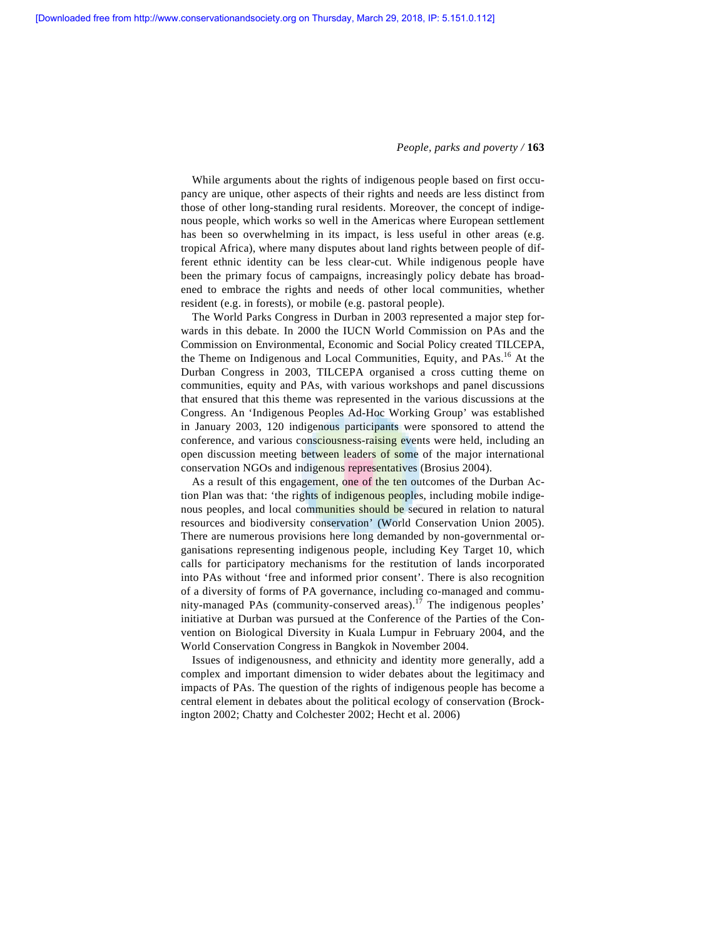While arguments about the rights of indigenous people based on first occupancy are unique, other aspects of their rights and needs are less distinct from those of other long-standing rural residents. Moreover, the concept of indigenous people, which works so well in the Americas where European settlement has been so overwhelming in its impact, is less useful in other areas (e.g. tropical Africa), where many disputes about land rights between people of different ethnic identity can be less clear-cut. While indigenous people have been the primary focus of campaigns, increasingly policy debate has broadened to embrace the rights and needs of other local communities, whether resident (e.g. in forests), or mobile (e.g. pastoral people).

 The World Parks Congress in Durban in 2003 represented a major step forwards in this debate. In 2000 the IUCN World Commission on PAs and the Commission on Environmental, Economic and Social Policy created TILCEPA, the Theme on Indigenous and Local Communities, Equity, and PAs.<sup>16</sup> At the Durban Congress in 2003, TILCEPA organised a cross cutting theme on communities, equity and PAs, with various workshops and panel discussions that ensured that this theme was represented in the various discussions at the Congress. An 'Indigenous Peoples Ad-Hoc Working Group' was established in January 2003, 120 indigenous participants were sponsored to attend the conference, and various consciousness-raising events were held, including an open discussion meeting between leaders of some of the major international conservation NGOs and indigenous representatives (Brosius 2004).

 As a result of this engagement, one of the ten outcomes of the Durban Action Plan was that: 'the rights of indigenous peoples, including mobile indigenous peoples, and local communities should be secured in relation to natural resources and biodiversity conservation' (World Conservation Union 2005). There are numerous provisions here long demanded by non-governmental organisations representing indigenous people, including Key Target 10, which calls for participatory mechanisms for the restitution of lands incorporated into PAs without 'free and informed prior consent'. There is also recognition of a diversity of forms of PA governance, including co-managed and community-managed PAs (community-conserved areas).17 The indigenous peoples' initiative at Durban was pursued at the Conference of the Parties of the Convention on Biological Diversity in Kuala Lumpur in February 2004, and the World Conservation Congress in Bangkok in November 2004.

 Issues of indigenousness, and ethnicity and identity more generally, add a complex and important dimension to wider debates about the legitimacy and impacts of PAs. The question of the rights of indigenous people has become a central element in debates about the political ecology of conservation (Brockington 2002; Chatty and Colchester 2002; Hecht et al. 2006)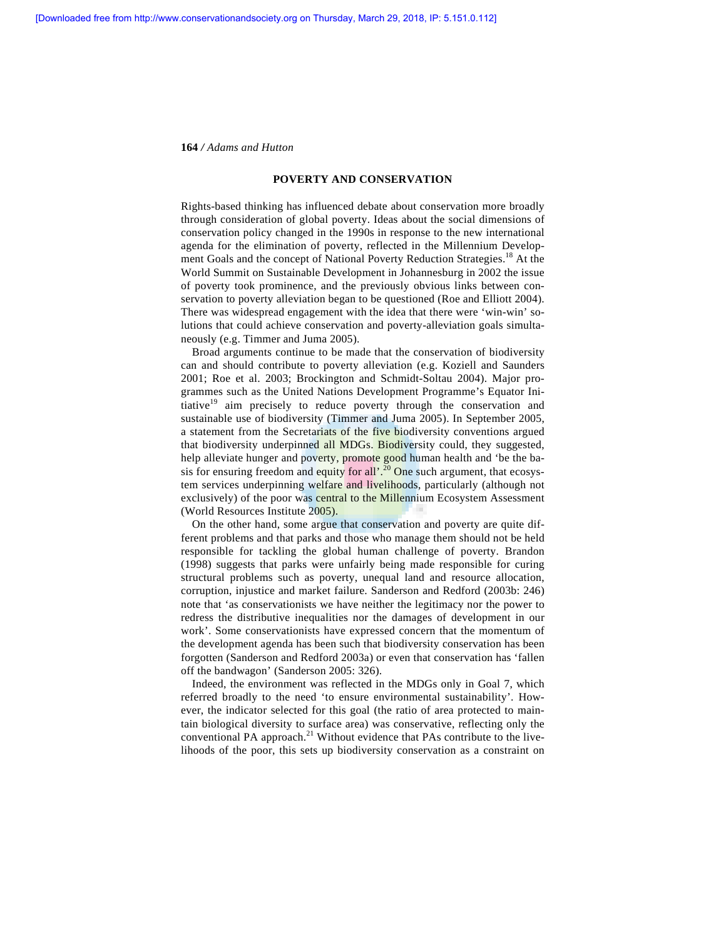## **POVERTY AND CONSERVATION**

Rights-based thinking has influenced debate about conservation more broadly through consideration of global poverty. Ideas about the social dimensions of conservation policy changed in the 1990s in response to the new international agenda for the elimination of poverty, reflected in the Millennium Development Goals and the concept of National Poverty Reduction Strategies.<sup>18</sup> At the World Summit on Sustainable Development in Johannesburg in 2002 the issue of poverty took prominence, and the previously obvious links between conservation to poverty alleviation began to be questioned (Roe and Elliott 2004). There was widespread engagement with the idea that there were 'win-win' solutions that could achieve conservation and poverty-alleviation goals simultaneously (e.g. Timmer and Juma 2005).

 Broad arguments continue to be made that the conservation of biodiversity can and should contribute to poverty alleviation (e.g. Koziell and Saunders 2001; Roe et al. 2003; Brockington and Schmidt-Soltau 2004). Major programmes such as the United Nations Development Programme's Equator Initiative $19$  aim precisely to reduce poverty through the conservation and sustainable use of biodiversity (Timmer and Juma 2005). In September 2005, a statement from the Secretariats of the five biodiversity conventions argued that biodiversity underpinned all MDGs. Biodiversity could, they suggested, help alleviate hunger and poverty, promote good human health and 'be the basis for ensuring freedom and equity for all  $\cdot$ <sup>20</sup> One such argument, that ecosystem services underpinning welfare and livelihoods, particularly (although not exclusively) of the poor was central to the Millennium Ecosystem Assessment (World Resources Institute 2005).

 On the other hand, some argue that conservation and poverty are quite different problems and that parks and those who manage them should not be held responsible for tackling the global human challenge of poverty. Brandon (1998) suggests that parks were unfairly being made responsible for curing structural problems such as poverty, unequal land and resource allocation, corruption, injustice and market failure. Sanderson and Redford (2003b: 246) note that 'as conservationists we have neither the legitimacy nor the power to redress the distributive inequalities nor the damages of development in our work'. Some conservationists have expressed concern that the momentum of the development agenda has been such that biodiversity conservation has been forgotten (Sanderson and Redford 2003a) or even that conservation has 'fallen off the bandwagon' (Sanderson 2005: 326).

 Indeed, the environment was reflected in the MDGs only in Goal 7, which referred broadly to the need 'to ensure environmental sustainability'. However, the indicator selected for this goal (the ratio of area protected to maintain biological diversity to surface area) was conservative, reflecting only the conventional PA approach.<sup>21</sup> Without evidence that PAs contribute to the livelihoods of the poor, this sets up biodiversity conservation as a constraint on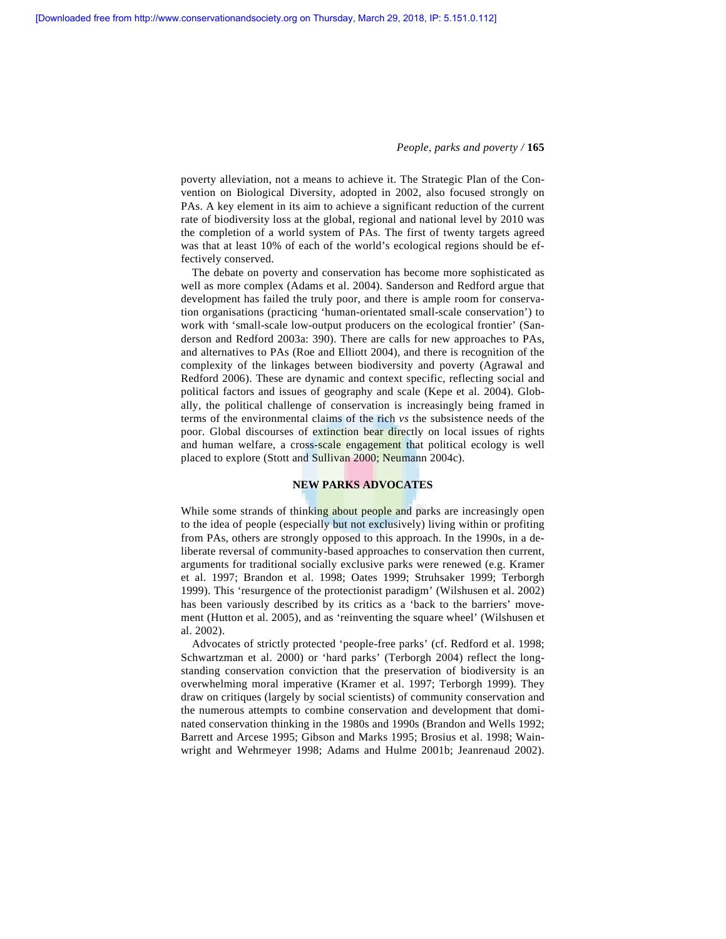poverty alleviation, not a means to achieve it. The Strategic Plan of the Convention on Biological Diversity, adopted in 2002, also focused strongly on PAs. A key element in its aim to achieve a significant reduction of the current rate of biodiversity loss at the global, regional and national level by 2010 was the completion of a world system of PAs. The first of twenty targets agreed was that at least 10% of each of the world's ecological regions should be effectively conserved.

 The debate on poverty and conservation has become more sophisticated as well as more complex (Adams et al. 2004). Sanderson and Redford argue that development has failed the truly poor, and there is ample room for conservation organisations (practicing 'human-orientated small-scale conservation') to work with 'small-scale low-output producers on the ecological frontier' (Sanderson and Redford 2003a: 390). There are calls for new approaches to PAs, and alternatives to PAs (Roe and Elliott 2004), and there is recognition of the complexity of the linkages between biodiversity and poverty (Agrawal and Redford 2006). These are dynamic and context specific, reflecting social and political factors and issues of geography and scale (Kepe et al. 2004). Globally, the political challenge of conservation is increasingly being framed in terms of the environmental claims of the rich *vs* the subsistence needs of the poor. Global discourses of extinction bear directly on local issues of rights and human welfare, a cross-scale engagement that political ecology is well placed to explore (Stott and Sullivan 2000; Neumann 2004c).

## **NEW PARKS ADVOCATES**

While some strands of thinking about people and parks are increasingly open to the idea of people (especially but not exclusively) living within or profiting from PAs, others are strongly opposed to this approach. In the 1990s, in a deliberate reversal of community-based approaches to conservation then current, arguments for traditional socially exclusive parks were renewed (e.g. Kramer et al. 1997; Brandon et al. 1998; Oates 1999; Struhsaker 1999; Terborgh 1999). This 'resurgence of the protectionist paradigm' (Wilshusen et al. 2002) has been variously described by its critics as a 'back to the barriers' movement (Hutton et al. 2005), and as 'reinventing the square wheel' (Wilshusen et al. 2002).

 Advocates of strictly protected 'people-free parks' (cf. Redford et al. 1998; Schwartzman et al. 2000) or 'hard parks' (Terborgh 2004) reflect the longstanding conservation conviction that the preservation of biodiversity is an overwhelming moral imperative (Kramer et al. 1997; Terborgh 1999). They draw on critiques (largely by social scientists) of community conservation and the numerous attempts to combine conservation and development that dominated conservation thinking in the 1980s and 1990s (Brandon and Wells 1992; Barrett and Arcese 1995; Gibson and Marks 1995; Brosius et al. 1998; Wainwright and Wehrmeyer 1998; Adams and Hulme 2001b; Jeanrenaud 2002).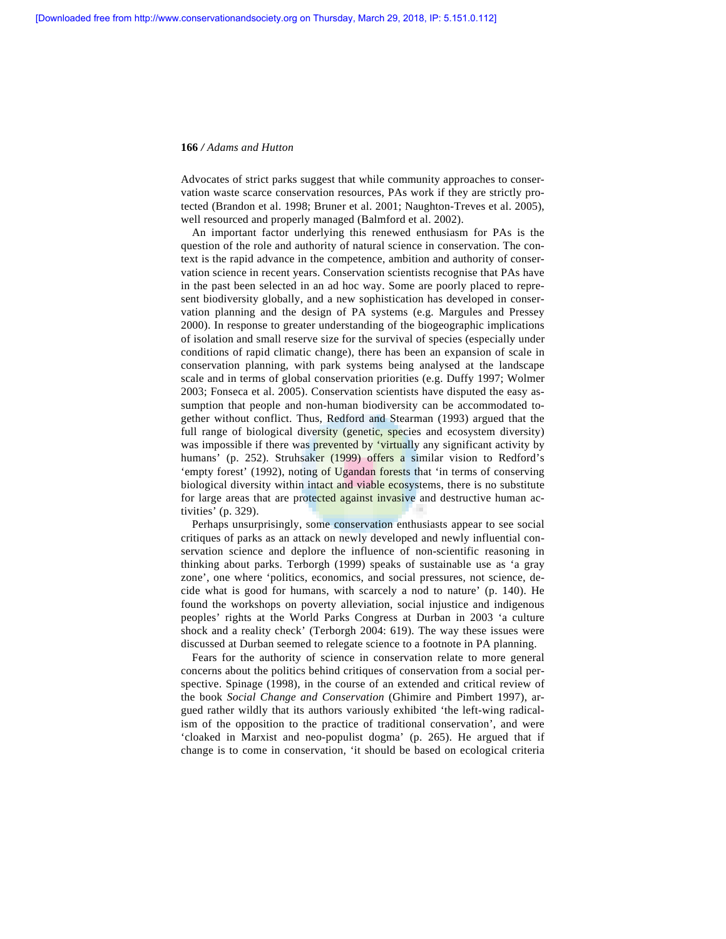Advocates of strict parks suggest that while community approaches to conservation waste scarce conservation resources, PAs work if they are strictly protected (Brandon et al. 1998; Bruner et al. 2001; Naughton-Treves et al. 2005), well resourced and properly managed (Balmford et al. 2002).

 An important factor underlying this renewed enthusiasm for PAs is the question of the role and authority of natural science in conservation. The context is the rapid advance in the competence, ambition and authority of conservation science in recent years. Conservation scientists recognise that PAs have in the past been selected in an ad hoc way. Some are poorly placed to represent biodiversity globally, and a new sophistication has developed in conservation planning and the design of PA systems (e.g. Margules and Pressey 2000). In response to greater understanding of the biogeographic implications of isolation and small reserve size for the survival of species (especially under conditions of rapid climatic change), there has been an expansion of scale in conservation planning, with park systems being analysed at the landscape scale and in terms of global conservation priorities (e.g. Duffy 1997; Wolmer 2003; Fonseca et al. 2005). Conservation scientists have disputed the easy assumption that people and non-human biodiversity can be accommodated together without conflict. Thus, Redford and Stearman (1993) argued that the full range of biological diversity (genetic, species and ecosystem diversity) was impossible if there was prevented by 'virtually any significant activity by humans' (p. 252). Struhsaker (1999) offers a similar vision to Redford's 'empty forest' (1992), noting of Ugandan forests that 'in terms of conserving biological diversity within intact and viable ecosystems, there is no substitute for large areas that are protected against invasive and destructive human activities' (p. 329).

 Perhaps unsurprisingly, some conservation enthusiasts appear to see social critiques of parks as an attack on newly developed and newly influential conservation science and deplore the influence of non-scientific reasoning in thinking about parks. Terborgh (1999) speaks of sustainable use as 'a gray zone', one where 'politics, economics, and social pressures, not science, decide what is good for humans, with scarcely a nod to nature' (p. 140). He found the workshops on poverty alleviation, social injustice and indigenous peoples' rights at the World Parks Congress at Durban in 2003 'a culture shock and a reality check' (Terborgh 2004: 619). The way these issues were discussed at Durban seemed to relegate science to a footnote in PA planning.

 Fears for the authority of science in conservation relate to more general concerns about the politics behind critiques of conservation from a social perspective. Spinage (1998), in the course of an extended and critical review of the book *Social Change and Conservation* (Ghimire and Pimbert 1997), argued rather wildly that its authors variously exhibited 'the left-wing radicalism of the opposition to the practice of traditional conservation', and were 'cloaked in Marxist and neo-populist dogma' (p. 265). He argued that if change is to come in conservation, 'it should be based on ecological criteria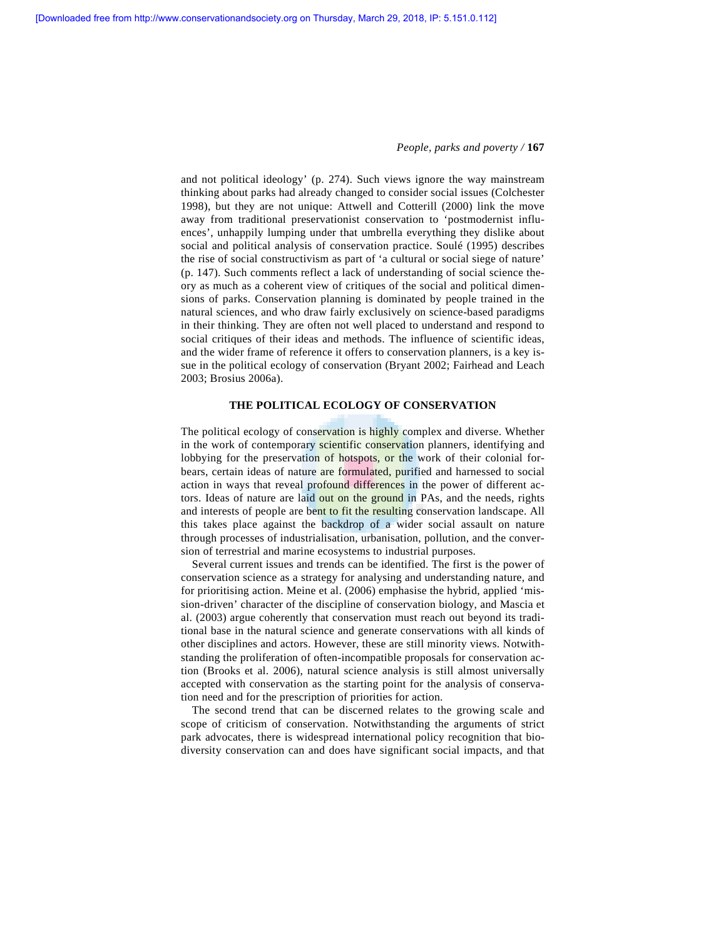and not political ideology' (p. 274). Such views ignore the way mainstream thinking about parks had already changed to consider social issues (Colchester 1998), but they are not unique: Attwell and Cotterill (2000) link the move away from traditional preservationist conservation to 'postmodernist influences', unhappily lumping under that umbrella everything they dislike about social and political analysis of conservation practice. Soulé (1995) describes the rise of social constructivism as part of 'a cultural or social siege of nature' (p. 147). Such comments reflect a lack of understanding of social science theory as much as a coherent view of critiques of the social and political dimensions of parks. Conservation planning is dominated by people trained in the natural sciences, and who draw fairly exclusively on science-based paradigms in their thinking. They are often not well placed to understand and respond to social critiques of their ideas and methods. The influence of scientific ideas, and the wider frame of reference it offers to conservation planners, is a key issue in the political ecology of conservation (Bryant 2002; Fairhead and Leach 2003; Brosius 2006a).

## **THE POLITICAL ECOLOGY OF CONSERVATION**

The political ecology of conservation is highly complex and diverse. Whether in the work of contemporary scientific conservation planners, identifying and lobbying for the preservation of hotspots, or the work of their colonial forbears, certain ideas of nature are formulated, purified and harnessed to social action in ways that reveal profound differences in the power of different actors. Ideas of nature are laid out on the ground in PAs, and the needs, rights and interests of people are bent to fit the resulting conservation landscape. All this takes place against the backdrop of a wider social assault on nature through processes of industrialisation, urbanisation, pollution, and the conversion of terrestrial and marine ecosystems to industrial purposes.

 Several current issues and trends can be identified. The first is the power of conservation science as a strategy for analysing and understanding nature, and for prioritising action. Meine et al. (2006) emphasise the hybrid, applied 'mission-driven' character of the discipline of conservation biology, and Mascia et al. (2003) argue coherently that conservation must reach out beyond its traditional base in the natural science and generate conservations with all kinds of other disciplines and actors. However, these are still minority views. Notwithstanding the proliferation of often-incompatible proposals for conservation action (Brooks et al. 2006), natural science analysis is still almost universally accepted with conservation as the starting point for the analysis of conservation need and for the prescription of priorities for action.

 The second trend that can be discerned relates to the growing scale and scope of criticism of conservation. Notwithstanding the arguments of strict park advocates, there is widespread international policy recognition that biodiversity conservation can and does have significant social impacts, and that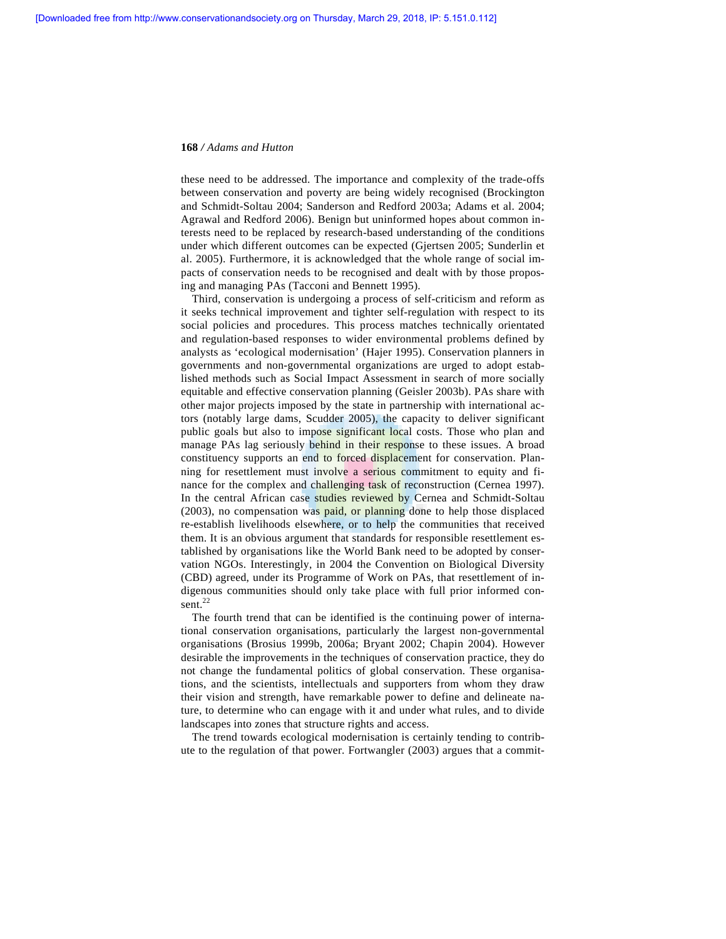these need to be addressed. The importance and complexity of the trade-offs between conservation and poverty are being widely recognised (Brockington and Schmidt-Soltau 2004; Sanderson and Redford 2003a; Adams et al. 2004; Agrawal and Redford 2006). Benign but uninformed hopes about common interests need to be replaced by research-based understanding of the conditions under which different outcomes can be expected (Gjertsen 2005; Sunderlin et al. 2005). Furthermore, it is acknowledged that the whole range of social impacts of conservation needs to be recognised and dealt with by those proposing and managing PAs (Tacconi and Bennett 1995).

 Third, conservation is undergoing a process of self-criticism and reform as it seeks technical improvement and tighter self-regulation with respect to its social policies and procedures. This process matches technically orientated and regulation-based responses to wider environmental problems defined by analysts as 'ecological modernisation' (Hajer 1995). Conservation planners in governments and non-governmental organizations are urged to adopt established methods such as Social Impact Assessment in search of more socially equitable and effective conservation planning (Geisler 2003b). PAs share with other major projects imposed by the state in partnership with international actors (notably large dams, Scudder 2005), the capacity to deliver significant public goals but also to impose significant local costs. Those who plan and manage PAs lag seriously behind in their response to these issues. A broad constituency supports an end to forced displacement for conservation. Planning for resettlement must involve a serious commitment to equity and finance for the complex and challenging task of reconstruction (Cernea 1997). In the central African case studies reviewed by Cernea and Schmidt-Soltau (2003), no compensation was paid, or planning done to help those displaced re-establish livelihoods elsewhere, or to help the communities that received them. It is an obvious argument that standards for responsible resettlement established by organisations like the World Bank need to be adopted by conservation NGOs. Interestingly, in 2004 the Convention on Biological Diversity (CBD) agreed, under its Programme of Work on PAs, that resettlement of indigenous communities should only take place with full prior informed consent. $^{22}$ 

 The fourth trend that can be identified is the continuing power of international conservation organisations, particularly the largest non-governmental organisations (Brosius 1999b, 2006a; Bryant 2002; Chapin 2004). However desirable the improvements in the techniques of conservation practice, they do not change the fundamental politics of global conservation. These organisations, and the scientists, intellectuals and supporters from whom they draw their vision and strength, have remarkable power to define and delineate nature, to determine who can engage with it and under what rules, and to divide landscapes into zones that structure rights and access.

 The trend towards ecological modernisation is certainly tending to contribute to the regulation of that power. Fortwangler (2003) argues that a commit-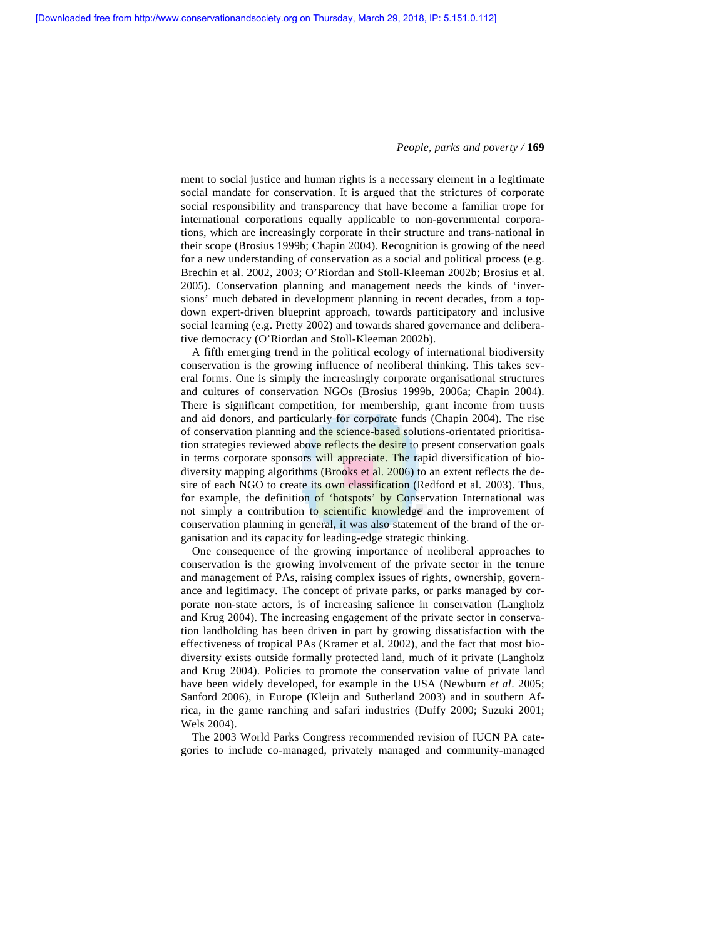ment to social justice and human rights is a necessary element in a legitimate social mandate for conservation. It is argued that the strictures of corporate social responsibility and transparency that have become a familiar trope for international corporations equally applicable to non-governmental corporations, which are increasingly corporate in their structure and trans-national in their scope (Brosius 1999b; Chapin 2004). Recognition is growing of the need for a new understanding of conservation as a social and political process (e.g. Brechin et al. 2002, 2003; O'Riordan and Stoll-Kleeman 2002b; Brosius et al. 2005). Conservation planning and management needs the kinds of 'inversions' much debated in development planning in recent decades, from a topdown expert-driven blueprint approach, towards participatory and inclusive social learning (e.g. Pretty 2002) and towards shared governance and deliberative democracy (O'Riordan and Stoll-Kleeman 2002b).

 A fifth emerging trend in the political ecology of international biodiversity conservation is the growing influence of neoliberal thinking. This takes several forms. One is simply the increasingly corporate organisational structures and cultures of conservation NGOs (Brosius 1999b, 2006a; Chapin 2004). There is significant competition, for membership, grant income from trusts and aid donors, and particularly for corporate funds (Chapin 2004). The rise of conservation planning and the science-based solutions-orientated prioritisation strategies reviewed above reflects the desire to present conservation goals in terms corporate sponsors will appreciate. The rapid diversification of biodiversity mapping algorithms (Brooks et al. 2006) to an extent reflects the desire of each NGO to create its own classification (Redford et al. 2003). Thus, for example, the definition of 'hotspots' by Conservation International was not simply a contribution to scientific knowledge and the improvement of conservation planning in general, it was also statement of the brand of the organisation and its capacity for leading-edge strategic thinking.

 One consequence of the growing importance of neoliberal approaches to conservation is the growing involvement of the private sector in the tenure and management of PAs, raising complex issues of rights, ownership, governance and legitimacy. The concept of private parks, or parks managed by corporate non-state actors, is of increasing salience in conservation (Langholz and Krug 2004). The increasing engagement of the private sector in conservation landholding has been driven in part by growing dissatisfaction with the effectiveness of tropical PAs (Kramer et al. 2002), and the fact that most biodiversity exists outside formally protected land, much of it private (Langholz and Krug 2004). Policies to promote the conservation value of private land have been widely developed, for example in the USA (Newburn *et al*. 2005; Sanford 2006), in Europe (Kleijn and Sutherland 2003) and in southern Africa, in the game ranching and safari industries (Duffy 2000; Suzuki 2001; Wels 2004).

 The 2003 World Parks Congress recommended revision of IUCN PA categories to include co-managed, privately managed and community-managed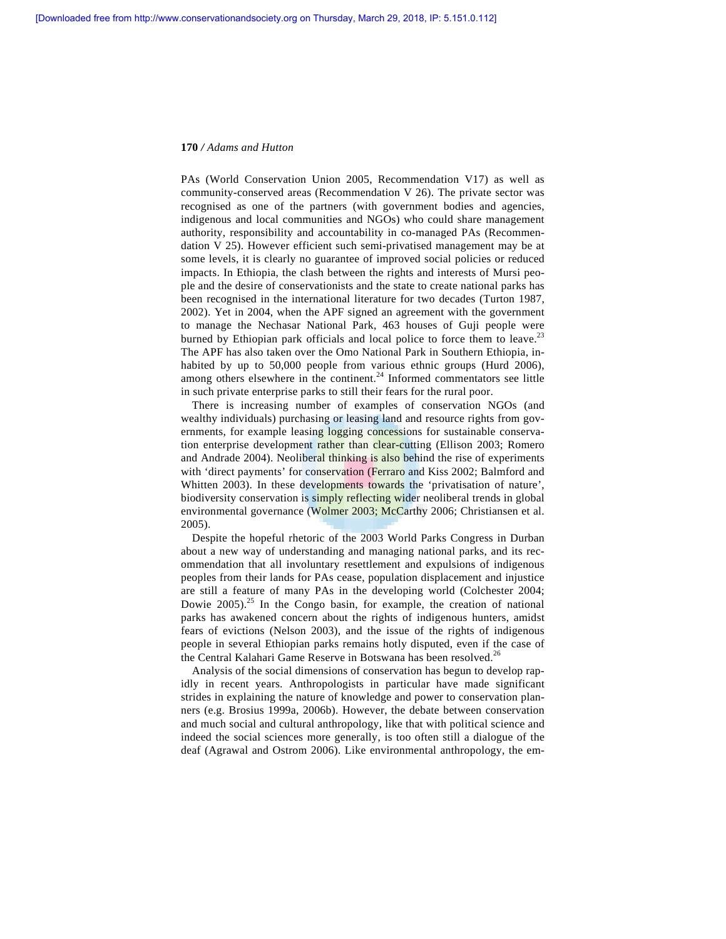PAs (World Conservation Union 2005, Recommendation V17) as well as community-conserved areas (Recommendation V 26). The private sector was recognised as one of the partners (with government bodies and agencies, indigenous and local communities and NGOs) who could share management authority, responsibility and accountability in co-managed PAs (Recommendation V 25). However efficient such semi-privatised management may be at some levels, it is clearly no guarantee of improved social policies or reduced impacts. In Ethiopia, the clash between the rights and interests of Mursi people and the desire of conservationists and the state to create national parks has been recognised in the international literature for two decades (Turton 1987, 2002). Yet in 2004, when the APF signed an agreement with the government to manage the Nechasar National Park, 463 houses of Guji people were burned by Ethiopian park officials and local police to force them to leave.<sup>23</sup> The APF has also taken over the Omo National Park in Southern Ethiopia, inhabited by up to 50,000 people from various ethnic groups (Hurd 2006), among others elsewhere in the continent. $24$  Informed commentators see little in such private enterprise parks to still their fears for the rural poor.

 There is increasing number of examples of conservation NGOs (and wealthy individuals) purchasing or leasing land and resource rights from governments, for example leasing logging concessions for sustainable conservation enterprise development rather than clear-cutting (Ellison 2003; Romero and Andrade 2004). Neoliberal thinking is also behind the rise of experiments with 'direct payments' for conservation (Ferraro and Kiss 2002; Balmford and Whitten 2003). In these developments towards the 'privatisation of nature', biodiversity conservation is simply reflecting wider neoliberal trends in global environmental governance (Wolmer 2003; McCarthy 2006; Christiansen et al. 2005).

 Despite the hopeful rhetoric of the 2003 World Parks Congress in Durban about a new way of understanding and managing national parks, and its recommendation that all involuntary resettlement and expulsions of indigenous peoples from their lands for PAs cease, population displacement and injustice are still a feature of many PAs in the developing world (Colchester 2004; Dowie  $2005$ .<sup>25</sup> In the Congo basin, for example, the creation of national parks has awakened concern about the rights of indigenous hunters, amidst fears of evictions (Nelson 2003), and the issue of the rights of indigenous people in several Ethiopian parks remains hotly disputed, even if the case of the Central Kalahari Game Reserve in Botswana has been resolved.<sup>26</sup>

 Analysis of the social dimensions of conservation has begun to develop rapidly in recent years. Anthropologists in particular have made significant strides in explaining the nature of knowledge and power to conservation planners (e.g. Brosius 1999a, 2006b). However, the debate between conservation and much social and cultural anthropology, like that with political science and indeed the social sciences more generally, is too often still a dialogue of the deaf (Agrawal and Ostrom 2006). Like environmental anthropology, the em-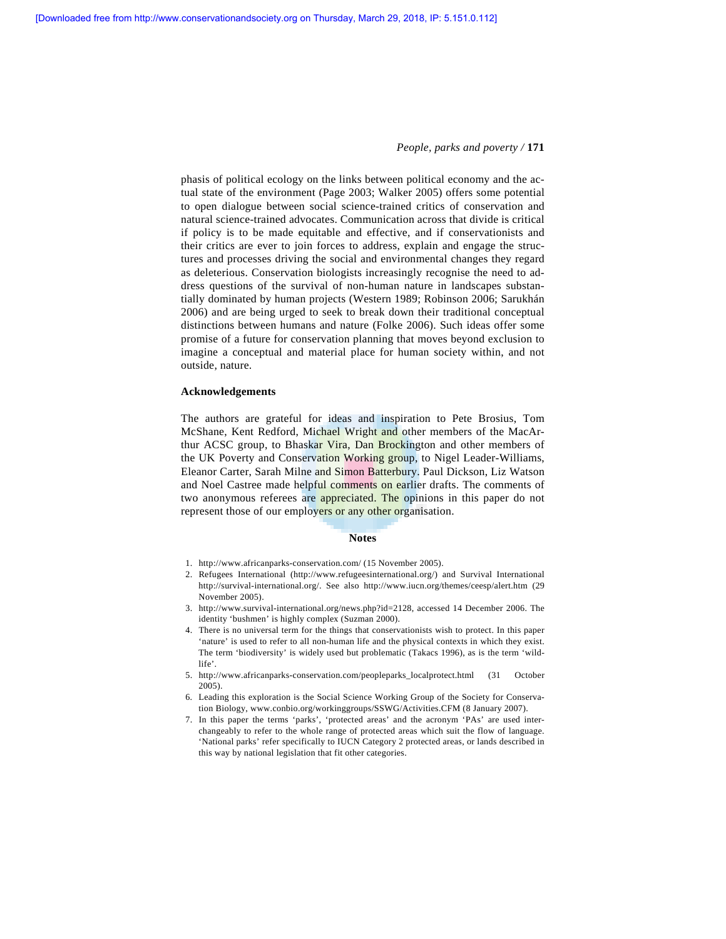phasis of political ecology on the links between political economy and the actual state of the environment (Page 2003; Walker 2005) offers some potential to open dialogue between social science-trained critics of conservation and natural science-trained advocates. Communication across that divide is critical if policy is to be made equitable and effective, and if conservationists and their critics are ever to join forces to address, explain and engage the structures and processes driving the social and environmental changes they regard as deleterious. Conservation biologists increasingly recognise the need to address questions of the survival of non-human nature in landscapes substantially dominated by human projects (Western 1989; Robinson 2006; Sarukhán 2006) and are being urged to seek to break down their traditional conceptual distinctions between humans and nature (Folke 2006). Such ideas offer some promise of a future for conservation planning that moves beyond exclusion to imagine a conceptual and material place for human society within, and not outside, nature.

## **Acknowledgements**

The authors are grateful for ideas and inspiration to Pete Brosius, Tom McShane, Kent Redford, Michael Wright and other members of the MacArthur ACSC group, to Bhaskar Vira, Dan Brockington and other members of the UK Poverty and Conservation Working group, to Nigel Leader-Williams, Eleanor Carter, Sarah Milne and Simon Batterbury. Paul Dickson, Liz Watson and Noel Castree made helpful comments on earlier drafts. The comments of two anonymous referees are appreciated. The opinions in this paper do not represent those of our employers or any other organisation.

#### **Notes**

- 1. http://www.africanparks-conservation.com/ (15 November 2005).
- 2. Refugees International (http://www.refugeesinternational.org/) and Survival International http://survival-international.org/. See also http://www.iucn.org/themes/ceesp/alert.htm (29 November 2005).
- 3. http://www.survival-international.org/news.php?id=2128, accessed 14 December 2006. The identity 'bushmen' is highly complex (Suzman 2000).
- 4. There is no universal term for the things that conservationists wish to protect. In this paper 'nature' is used to refer to all non-human life and the physical contexts in which they exist. The term 'biodiversity' is widely used but problematic (Takacs 1996), as is the term 'wildlife'.
- 5. http://www.africanparks-conservation.com/peopleparks\_localprotect.html (31 October 2005).
- 6. Leading this exploration is the Social Science Working Group of the Society for Conservation Biology, www.conbio.org/workinggroups/SSWG/Activities.CFM (8 January 2007).
- 7. In this paper the terms 'parks', 'protected areas' and the acronym 'PAs' are used interchangeably to refer to the whole range of protected areas which suit the flow of language. 'National parks' refer specifically to IUCN Category 2 protected areas, or lands described in this way by national legislation that fit other categories.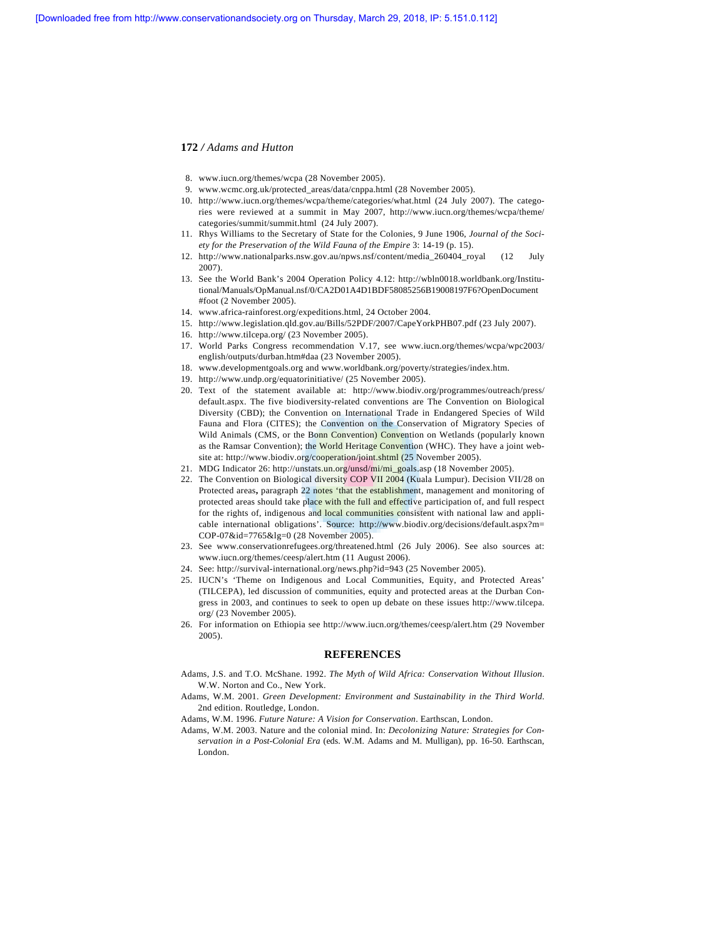- 8. www.iucn.org/themes/wcpa (28 November 2005).
- 9. www.wcmc.org.uk/protected\_areas/data/cnppa.html (28 November 2005).
- 10. http://www.iucn.org/themes/wcpa/theme/categories/what.html (24 July 2007). The categories were reviewed at a summit in May 2007, http://www.iucn.org/themes/wcpa/theme/ categories/summit/summit.html (24 July 2007).
- 11. Rhys Williams to the Secretary of State for the Colonies, 9 June 1906, *Journal of the Society for the Preservation of the Wild Fauna of the Empire* 3: 14-19 (p. 15).
- 12. http://www.nationalparks.nsw.gov.au/npws.nsf/content/media\_260404\_royal (12 July 2007).
- 13. See the World Bank's 2004 Operation Policy 4.12: http://wbln0018.worldbank.org/Institutional/Manuals/OpManual.nsf/0/CA2D01A4D1BDF58085256B19008197F6?OpenDocument #foot (2 November 2005).
- 14. www.africa-rainforest.org/expeditions.html, 24 October 2004.
- 15. http://www.legislation.qld.gov.au/Bills/52PDF/2007/CapeYorkPHB07.pdf (23 July 2007).
- 16. http://www.tilcepa.org/ (23 November 2005).
- 17. World Parks Congress recommendation V.17, see www.iucn.org/themes/wcpa/wpc2003/ english/outputs/durban.htm#daa (23 November 2005).
- 18. www.developmentgoals.org and www.worldbank.org/poverty/strategies/index.htm.
- 19. http://www.undp.org/equatorinitiative/ (25 November 2005).
- 20. Text of the statement available at: http://www.biodiv.org/programmes/outreach/press/ default.aspx. The five biodiversity-related conventions are The Convention on Biological Diversity (CBD); the Convention on International Trade in Endangered Species of Wild Fauna and Flora (CITES); the Convention on the Conservation of Migratory Species of Wild Animals (CMS, or the Bonn Convention) Convention on Wetlands (popularly known as the Ramsar Convention); the World Heritage Convention (WHC). They have a joint website at: http://www.biodiv.org/cooperation/joint.shtml (25 November 2005).
- 21. MDG Indicator 26: http://unstats.un.org/unsd/mi/mi\_goals.asp (18 November 2005).
- 22. The Convention on Biological diversity COP VII 2004 (Kuala Lumpur). Decision VII/28 on Protected areas**,** paragraph 22 notes 'that the establishment, management and monitoring of protected areas should take place with the full and effective participation of, and full respect for the rights of, indigenous and local communities consistent with national law and applicable international obligations'. Source: http://www.biodiv.org/decisions/default.aspx?m= COP-07&id=7765&lg=0 (28 November 2005).
- 23. See www.conservationrefugees.org/threatened.html (26 July 2006). See also sources at: www.iucn.org/themes/ceesp/alert.htm (11 August 2006).
- 24. See: http://survival-international.org/news.php?id=943 (25 November 2005).
- 25. IUCN's 'Theme on Indigenous and Local Communities, Equity, and Protected Areas' (TILCEPA), led discussion of communities, equity and protected areas at the Durban Congress in 2003, and continues to seek to open up debate on these issues http://www.tilcepa. org/ (23 November 2005).
- 26. For information on Ethiopia see http://www.iucn.org/themes/ceesp/alert.htm (29 November 2005).

## **REFERENCES**

- Adams, J.S. and T.O. McShane. 1992. *The Myth of Wild Africa: Conservation Without Illusion*. W.W. Norton and Co., New York.
- Adams, W.M. 2001. *Green Development: Environment and Sustainability in the Third World*. 2nd edition. Routledge, London.

Adams, W.M. 1996. *Future Nature: A Vision for Conservation*. Earthscan, London.

Adams, W.M. 2003. Nature and the colonial mind. In: *Decolonizing Nature: Strategies for Conservation in a Post-Colonial Era* (eds. W.M. Adams and M. Mulligan), pp. 16-50. Earthscan, London.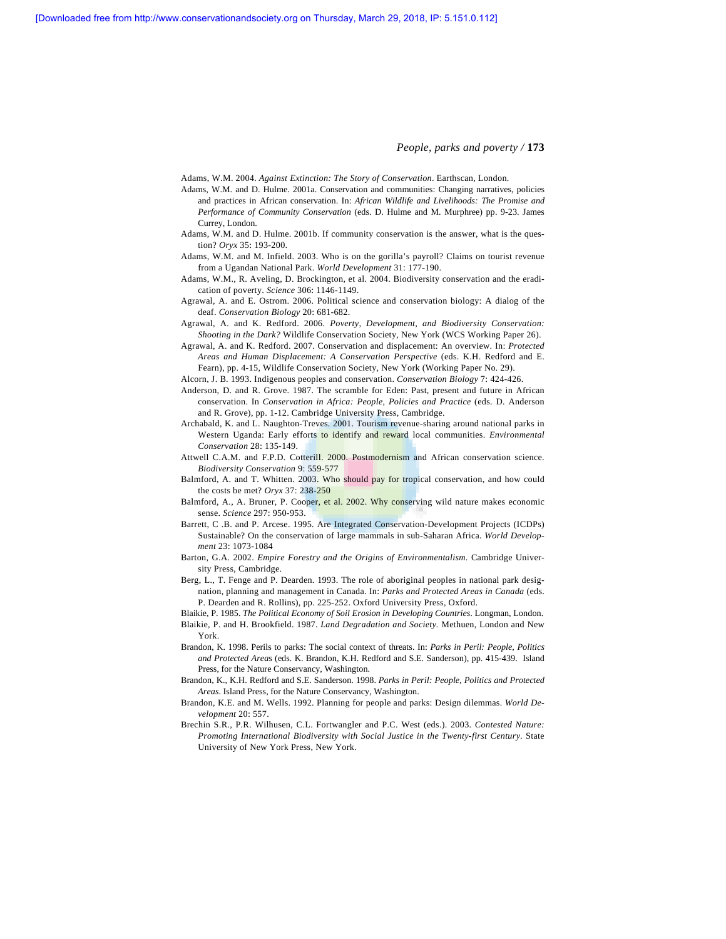Adams, W.M. 2004. *Against Extinction: The Story of Conservation*. Earthscan, London.

- Adams, W.M. and D. Hulme. 2001a. Conservation and communities: Changing narratives, policies and practices in African conservation. In: *African Wildlife and Livelihoods: The Promise and Performance of Community Conservation* (eds. D. Hulme and M. Murphree) pp. 9-23. James Currey, London.
- Adams, W.M. and D. Hulme. 2001b. If community conservation is the answer, what is the question? *Oryx* 35: 193-200.
- Adams, W.M. and M. Infield. 2003. Who is on the gorilla's payroll? Claims on tourist revenue from a Ugandan National Park. *World Development* 31: 177-190.
- Adams, W.M., R. Aveling, D. Brockington, et al. 2004. Biodiversity conservation and the eradication of poverty. *Science* 306: 1146-1149.
- Agrawal, A. and E. Ostrom. 2006. Political science and conservation biology: A dialog of the deaf. *Conservation Biology* 20: 681-682.
- Agrawal, A. and K. Redford. 2006. *Poverty, Development, and Biodiversity Conservation: Shooting in the Dark?* Wildlife Conservation Society, New York (WCS Working Paper 26).
- Agrawal, A. and K. Redford. 2007. Conservation and displacement: An overview. In: *Protected Areas and Human Displacement: A Conservation Perspective* (eds. K.H. Redford and E. Fearn), pp. 4-15, Wildlife Conservation Society, New York (Working Paper No. 29).
- Alcorn, J. B. 1993. Indigenous peoples and conservation. *Conservation Biology* 7: 424-426.
- Anderson, D. and R. Grove. 1987. The scramble for Eden: Past, present and future in African conservation. In *Conservation in Africa: People, Policies and Practice* (eds. D. Anderson and R. Grove), pp. 1-12. Cambridge University Press, Cambridge.
- Archabald, K. and L. Naughton-Treves. 2001. Tourism revenue-sharing around national parks in Western Uganda: Early efforts to identify and reward local communities. *Environmental Conservation* 28: 135-149.
- Attwell C.A.M. and F.P.D. Cotterill. 2000. Postmodernism and African conservation science. *Biodiversity Conservation* 9: 559-577
- Balmford, A. and T. Whitten. 2003. Who should pay for tropical conservation, and how could the costs be met? *Oryx* 37: 238-250
- Balmford, A., A. Bruner, P. Cooper, et al. 2002. Why conserving wild nature makes economic sense. *Science* 297: 950-953.
- Barrett, C .B. and P. Arcese. 1995. Are Integrated Conservation-Development Projects (ICDPs) Sustainable? On the conservation of large mammals in sub-Saharan Africa. *World Development* 23: 1073-1084
- Barton, G.A. 2002. *Empire Forestry and the Origins of Environmentalism*. Cambridge University Press, Cambridge.
- Berg, L., T. Fenge and P. Dearden. 1993. The role of aboriginal peoples in national park designation, planning and management in Canada. In: *Parks and Protected Areas in Canada* (eds. P. Dearden and R. Rollins), pp. 225-252. Oxford University Press, Oxford.
- Blaikie, P. 1985. *The Political Economy of Soil Erosion in Developing Countries*. Longman, London. Blaikie, P. and H. Brookfield. 1987. *Land Degradation and Society.* Methuen, London and New York.
- Brandon, K. 1998. Perils to parks: The social context of threats. In: *Parks in Peril: People, Politics and Protected Area*s (eds. K. Brandon, K.H. Redford and S.E. Sanderson), pp. 415-439. Island Press, for the Nature Conservancy, Washington.
- Brandon, K., K.H. Redford and S.E. Sanderson. 1998. *Parks in Peril: People, Politics and Protected Areas*. Island Press, for the Nature Conservancy, Washington.
- Brandon, K.E. and M. Wells. 1992. Planning for people and parks: Design dilemmas. *World Development* 20: 557.
- Brechin S.R., P.R. Wilhusen, C.L. Fortwangler and P.C. West (eds.). 2003. *Contested Nature: Promoting International Biodiversity with Social Justice in the Twenty-first Century*. State University of New York Press, New York.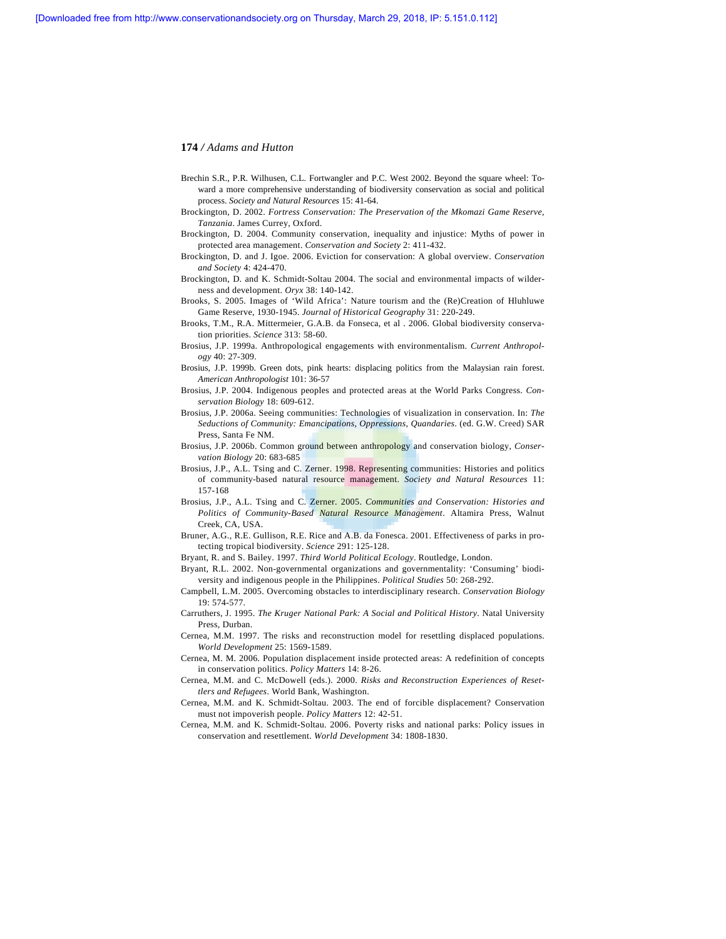- Brechin S.R., P.R. Wilhusen, C.L. Fortwangler and P.C. West 2002. Beyond the square wheel: Toward a more comprehensive understanding of biodiversity conservation as social and political process. *Society and Natural Resources* 15: 41-64.
- Brockington, D. 2002. *Fortress Conservation: The Preservation of the Mkomazi Game Reserve, Tanzania*. James Currey, Oxford.
- Brockington, D. 2004. Community conservation, inequality and injustice: Myths of power in protected area management. *Conservation and Society* 2: 411-432.
- Brockington, D. and J. Igoe. 2006. Eviction for conservation: A global overview. *Conservation and Society* 4: 424-470.
- Brockington, D. and K. Schmidt-Soltau 2004. The social and environmental impacts of wilderness and development. *Oryx* 38: 140-142.
- Brooks, S. 2005. Images of 'Wild Africa': Nature tourism and the (Re)Creation of Hluhluwe Game Reserve, 1930-1945. *Journal of Historical Geography* 31: 220-249.
- Brooks, T.M., R.A. Mittermeier, G.A.B. da Fonseca, et al . 2006. Global biodiversity conservation priorities. *Science* 313: 58-60.
- Brosius, J.P. 1999a. Anthropological engagements with environmentalism. *Current Anthropology* 40: 27-309.
- Brosius, J.P. 1999b. Green dots, pink hearts: displacing politics from the Malaysian rain forest. *American Anthropologist* 101: 36-57
- Brosius, J.P. 2004. Indigenous peoples and protected areas at the World Parks Congress. *Conservation Biology* 18: 609-612.
- Brosius, J.P. 2006a. Seeing communities: Technologies of visualization in conservation. In: *The Seductions of Community: Emancipations, Oppressions, Quandaries*. (ed. G.W. Creed) SAR Press, Santa Fe NM.
- Brosius, J.P. 2006b. Common ground between anthropology and conservation biology, *Conservation Biology* 20: 683-685
- Brosius, J.P., A.L. Tsing and C. Zerner. 1998. Representing communities: Histories and politics of community-based natural resource management. *Society and Natural Resources* 11: 157-168
- Brosius, J.P., A.L. Tsing and C. Zerner. 2005. *Communities and Conservation: Histories and Politics of Community-Based Natural Resource Management*. Altamira Press, Walnut Creek, CA, USA.
- Bruner, A.G., R.E. Gullison, R.E. Rice and A.B. da Fonesca. 2001. Effectiveness of parks in protecting tropical biodiversity. *Science* 291: 125-128.
- Bryant, R. and S. Bailey. 1997. *Third World Political Ecology*. Routledge, London.
- Bryant, R.L. 2002. Non-governmental organizations and governmentality: 'Consuming' biodiversity and indigenous people in the Philippines. *Political Studies* 50: 268-292.
- Campbell, L.M. 2005. Overcoming obstacles to interdisciplinary research. *Conservation Biology* 19: 574-577.
- Carruthers, J. 1995. *The Kruger National Park: A Social and Political History*. Natal University Press, Durban.
- Cernea, M.M. 1997. The risks and reconstruction model for resettling displaced populations. *World Development* 25: 1569-1589.
- Cernea, M. M. 2006. Population displacement inside protected areas: A redefinition of concepts in conservation politics. *Policy Matters* 14: 8-26.
- Cernea, M.M. and C. McDowell (eds.). 2000. *Risks and Reconstruction Experiences of Resettlers and Refugees*. World Bank, Washington.
- Cernea, M.M. and K. Schmidt-Soltau. 2003. The end of forcible displacement? Conservation must not impoverish people. *Policy Matters* 12: 42-51.
- Cernea, M.M. and K. Schmidt-Soltau. 2006. Poverty risks and national parks: Policy issues in conservation and resettlement. *World Development* 34: 1808-1830.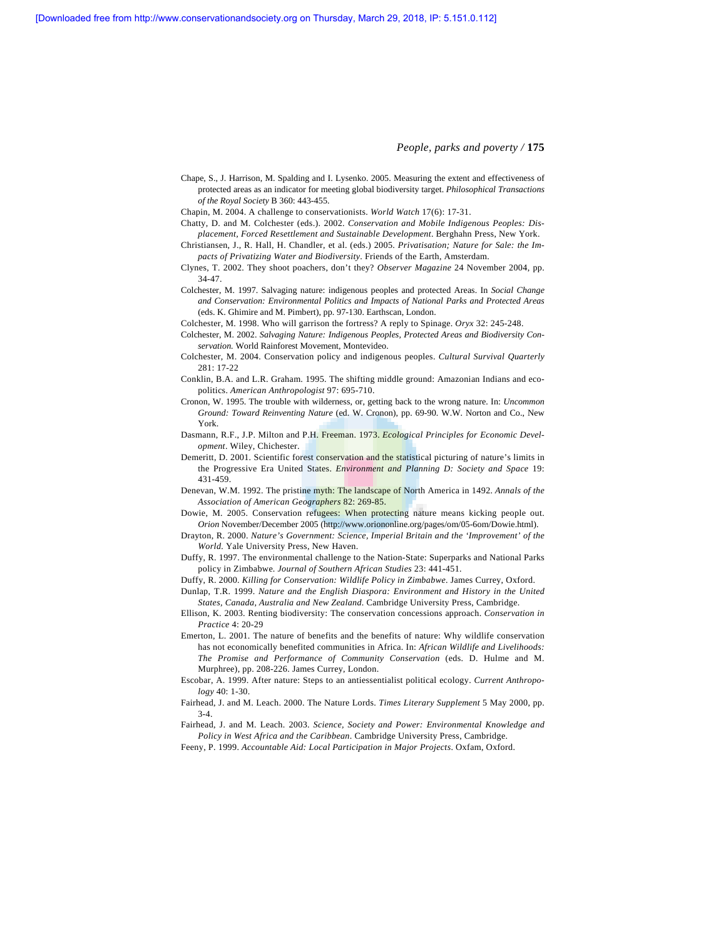- Chape, S., J. Harrison, M. Spalding and I. Lysenko. 2005. Measuring the extent and effectiveness of protected areas as an indicator for meeting global biodiversity target. *Philosophical Transactions of the Royal Society* B 360: 443-455.
- Chapin, M. 2004. A challenge to conservationists. *World Watch* 17(6): 17-31.
- Chatty, D. and M. Colchester (eds.). 2002. *Conservation and Mobile Indigenous Peoples: Displacement, Forced Resettlement and Sustainable Development*. Berghahn Press, New York.
- Christiansen, J., R. Hall, H. Chandler, et al. (eds.) 2005. *Privatisation; Nature for Sale: the Impacts of Privatizing Water and Biodiversity*. Friends of the Earth, Amsterdam.
- Clynes, T. 2002. They shoot poachers, don't they? *Observer Magazine* 24 November 2004, pp. 34-47.
- Colchester, M. 1997. Salvaging nature: indigenous peoples and protected Areas. In *Social Change and Conservation: Environmental Politics and Impacts of National Parks and Protected Areas* (eds. K. Ghimire and M. Pimbert), pp. 97-130. Earthscan, London.
- Colchester, M. 1998. Who will garrison the fortress? A reply to Spinage. *Oryx* 32: 245-248.
- Colchester, M. 2002. *Salvaging Nature: Indigenous Peoples, Protected Areas and Biodiversity Conservation.* World Rainforest Movement, Montevideo.
- Colchester, M. 2004. Conservation policy and indigenous peoples. *Cultural Survival Quarterly* 281: 17-22
- Conklin, B.A. and L.R. Graham. 1995. The shifting middle ground: Amazonian Indians and ecopolitics. *American Anthropologist* 97: 695-710.
- Cronon, W. 1995. The trouble with wilderness, or, getting back to the wrong nature. In: *Uncommon Ground: Toward Reinventing Nature* (ed. W. Cronon), pp. 69-90. W.W. Norton and Co., New York.
- Dasmann, R.F., J.P. Milton and P.H. Freeman. 1973. *Ecological Principles for Economic Development*. Wiley, Chichester.
- Demeritt, D. 2001. Scientific forest conservation and the statistical picturing of nature's limits in the Progressive Era United States. *Environment and Planning D: Society and Space* 19: 431-459.
- Denevan, W.M. 1992. The pristine myth: The landscape of North America in 1492. *Annals of the Association of American Geographers* 82: 269-85.
- Dowie, M. 2005. Conservation refugees: When protecting nature means kicking people out. *Orion* November/December 2005 (http://www.oriononline.org/pages/om/05-6om/Dowie.html).
- Drayton, R. 2000. *Nature's Government: Science, Imperial Britain and the 'Improvement' of the World.* Yale University Press, New Haven.
- Duffy, R. 1997. The environmental challenge to the Nation-State: Superparks and National Parks policy in Zimbabwe. *Journal of Southern African Studies* 23: 441-451.
- Duffy, R. 2000. *Killing for Conservation: Wildlife Policy in Zimbabwe*. James Currey, Oxford.
- Dunlap, T.R. 1999. *Nature and the English Diaspora: Environment and History in the United States, Canada, Australia and New Zealand*. Cambridge University Press, Cambridge.
- Ellison, K. 2003. Renting biodiversity: The conservation concessions approach. *Conservation in Practice* 4: 20-29
- Emerton, L. 2001. The nature of benefits and the benefits of nature: Why wildlife conservation has not economically benefited communities in Africa. In: *African Wildlife and Livelihoods: The Promise and Performance of Community Conservation* (eds. D. Hulme and M. Murphree), pp. 208-226. James Currey, London.
- Escobar, A. 1999. After nature: Steps to an antiessentialist political ecology. *Current Anthropology* 40: 1-30.
- Fairhead, J. and M. Leach. 2000. The Nature Lords. *Times Literary Supplement* 5 May 2000, pp. 3-4.
- Fairhead, J. and M. Leach. 2003. *Science, Society and Power: Environmental Knowledge and Policy in West Africa and the Caribbean*. Cambridge University Press, Cambridge.
- Feeny, P. 1999. *Accountable Aid: Local Participation in Major Projects*. Oxfam, Oxford.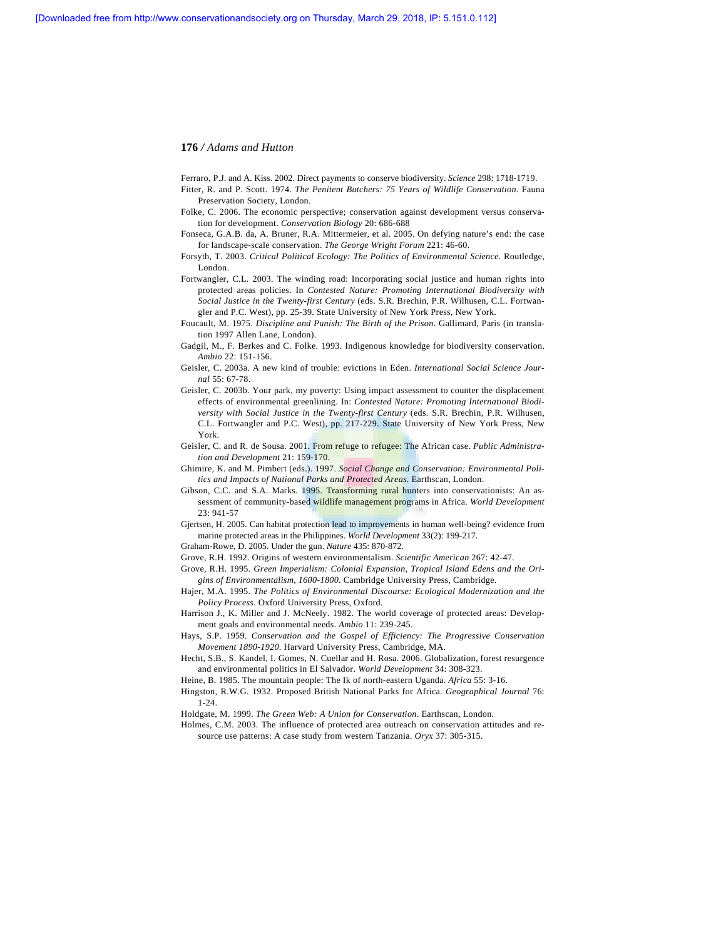Ferraro, P.J. and A. Kiss. 2002. Direct payments to conserve biodiversity. *Science* 298: 1718-1719.

- Fitter, R. and P. Scott. 1974. *The Penitent Butchers: 75 Years of Wildlife Conservation*. Fauna Preservation Society, London.
- Folke, C. 2006. The economic perspective; conservation against development versus conservation for development. *Conservation Biology* 20: 686-688
- Fonseca, G.A.B. da, A. Bruner, R.A. Mittermeier, et al. 2005. On defying nature's end: the case for landscape-scale conservation. *The George Wright Forum* 221: 46-60.
- Forsyth, T. 2003. *Critical Political Ecology: The Politics of Environmental Science*. Routledge, London.
- Fortwangler, C.L. 2003. The winding road: Incorporating social justice and human rights into protected areas policies. In *Contested Nature: Promoting International Biodiversity with Social Justice in the Twenty-first Century* (eds. S.R. Brechin, P.R. Wilhusen, C.L. Fortwangler and P.C. West), pp. 25-39. State University of New York Press, New York.
- Foucault, M. 1975. *Discipline and Punish: The Birth of the Prison*. Gallimard, Paris (in translation 1997 Allen Lane, London).
- Gadgil, M., F. Berkes and C. Folke. 1993. Indigenous knowledge for biodiversity conservation. *Ambio* 22: 151-156.
- Geisler, C. 2003a. A new kind of trouble: evictions in Eden. *International Social Science Journal* 55: 67-78.
- Geisler, C. 2003b. Your park, my poverty: Using impact assessment to counter the displacement effects of environmental greenlining. In: *Contested Nature: Promoting International Biodiversity with Social Justice in the Twenty-first Century* (eds. S.R. Brechin, P.R. Wilhusen, C.L. Fortwangler and P.C. West), pp. 217-229. State University of New York Press, New York.
- Geisler, C. and R. de Sousa. 2001. From refuge to refugee: The African case. *Public Administration and Development* 21: 159-170.
- Ghimire, K. and M. Pimbert (eds.). 1997. *Social Change and Conservation: Environmental Politics and Impacts of National Parks and Protected Areas*. Earthscan, London.
- Gibson, C.C. and S.A. Marks. 1995. Transforming rural hunters into conservationists: An assessment of community-based wildlife management programs in Africa. *World Development* 23: 941-57
- Gjertsen, H. 2005. Can habitat protection lead to improvements in human well-being? evidence from marine protected areas in the Philippines. *World Development* 33(2): 199-217.
- Graham-Rowe, D. 2005. Under the gun. *Nature* 435: 870-872.
- Grove, R.H. 1992. Origins of western environmentalism. *Scientific American* 267: 42-47.
- Grove, R.H. 1995. *Green Imperialism: Colonial Expansion, Tropical Island Edens and the Origins of Environmentalism, 1600-1800*. Cambridge University Press, Cambridge.
- Hajer, M.A. 1995. *The Politics of Environmental Discourse: Ecological Modernization and the Policy Process*. Oxford University Press, Oxford.
- Harrison J., K. Miller and J. McNeely. 1982. The world coverage of protected areas: Development goals and environmental needs. *Ambio* 11: 239-245.
- Hays, S.P. 1959. *Conservation and the Gospel of Efficiency: The Progressive Conservation Movement 1890-1920*. Harvard University Press, Cambridge, MA.
- Hecht, S.B., S. Kandel, I. Gomes, N. Cuellar and H. Rosa. 2006. Globalization, forest resurgence and environmental politics in El Salvador. *World Development* 34: 308-323.
- Heine, B. 1985. The mountain people: The Ik of north-eastern Uganda. *Africa* 55: 3-16.
- Hingston, R.W.G. 1932. Proposed British National Parks for Africa. *Geographical Journal* 76: 1-24.
- Holdgate, M. 1999. *The Green Web: A Union for Conservation*. Earthscan, London.
- Holmes, C.M. 2003. The influence of protected area outreach on conservation attitudes and resource use patterns: A case study from western Tanzania. *Oryx* 37: 305-315.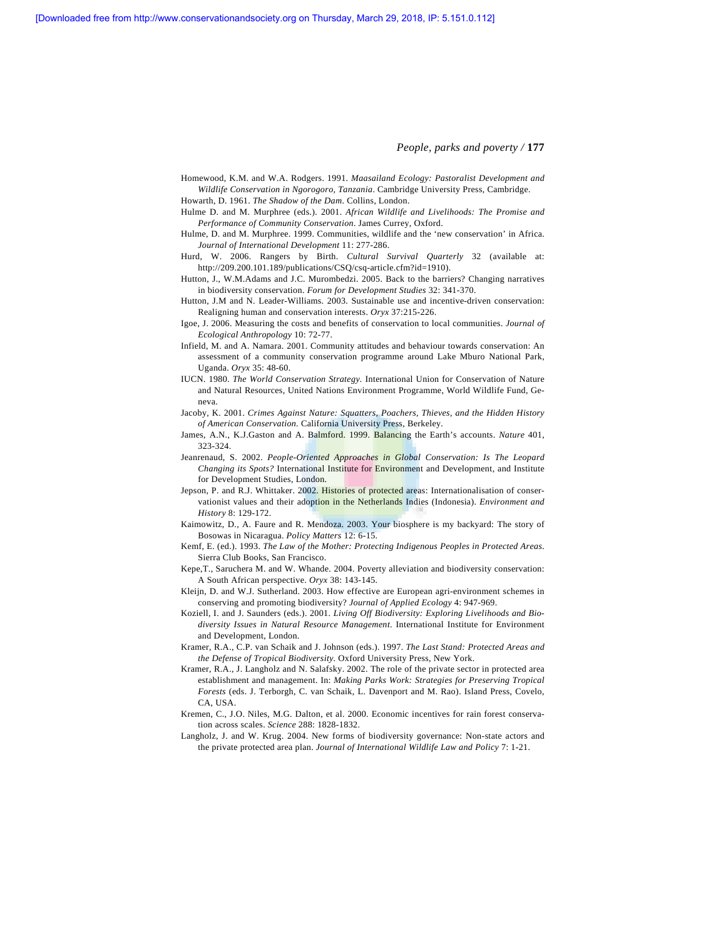**[Downloaded free from http://www.conservationandsociety.org on Thursday, March 29, 2018, IP: 5.151.0.112]**

*People, parks and poverty /* **177** 

- Homewood, K.M. and W.A. Rodgers. 1991. *Maasailand Ecology: Pastoralist Development and Wildlife Conservation in Ngorogoro, Tanzania*. Cambridge University Press, Cambridge.
- Howarth, D. 1961. *The Shadow of the Dam*. Collins, London.
- Hulme D. and M. Murphree (eds.). 2001. *African Wildlife and Livelihoods: The Promise and Performance of Community Conservation*. James Currey, Oxford.
- Hulme, D. and M. Murphree. 1999. Communities, wildlife and the 'new conservation' in Africa. *Journal of International Development* 11: 277-286.
- Hurd, W. 2006. Rangers by Birth. *Cultural Survival Quarterly* 32 (available at: http://209.200.101.189/publications/CSQ/csq-article.cfm?id=1910).
- Hutton, J., W.M.Adams and J.C. Murombedzi. 2005. Back to the barriers? Changing narratives in biodiversity conservation. *Forum for Development Studies* 32: 341-370.
- Hutton, J.M and N. Leader-Williams. 2003. Sustainable use and incentive-driven conservation: Realigning human and conservation interests. *Oryx* 37:215-226.
- Igoe, J. 2006. Measuring the costs and benefits of conservation to local communities. *Journal of Ecological Anthropology* 10: 72-77.
- Infield, M. and A. Namara. 2001. Community attitudes and behaviour towards conservation: An assessment of a community conservation programme around Lake Mburo National Park, Uganda. *Oryx* 35: 48-60.
- IUCN. 1980. *The World Conservation Strategy.* International Union for Conservation of Nature and Natural Resources, United Nations Environment Programme, World Wildlife Fund, Geneva.
- Jacoby, K. 2001. *Crimes Against Nature: Squatters, Poachers, Thieves, and the Hidden History of American Conservation.* California University Press, Berkeley.
- James, A.N., K.J.Gaston and A. Balmford. 1999. Balancing the Earth's accounts. *Nature* 401, 323-324.
- Jeanrenaud, S. 2002. *People-Oriented Approaches in Global Conservation: Is The Leopard Changing its Spots?* International Institute for Environment and Development, and Institute for Development Studies, London.
- Jepson, P. and R.J. Whittaker. 2002. Histories of protected areas: Internationalisation of conservationist values and their adoption in the Netherlands Indies (Indonesia). *Environment and History* 8: 129-172.
- Kaimowitz, D., A. Faure and R. Mendoza. 2003. Your biosphere is my backyard: The story of Bosowas in Nicaragua. *Policy Matters* 12: 6-15.
- Kemf, E. (ed.). 1993. *The Law of the Mother: Protecting Indigenous Peoples in Protected Areas*. Sierra Club Books, San Francisco.
- Kepe,T., Saruchera M. and W. Whande. 2004. Poverty alleviation and biodiversity conservation: A South African perspective. *Oryx* 38: 143-145.
- Kleijn, D. and W.J. Sutherland. 2003. How effective are European agri-environment schemes in conserving and promoting biodiversity? *Journal of Applied Ecology* 4: 947-969.
- Koziell, I. and J. Saunders (eds.). 2001. *Living Off Biodiversity: Exploring Livelihoods and Biodiversity Issues in Natural Resource Management*. International Institute for Environment and Development, London.
- Kramer, R.A., C.P. van Schaik and J. Johnson (eds.). 1997. *The Last Stand: Protected Areas and the Defense of Tropical Biodiversity*. Oxford University Press, New York.
- Kramer, R.A., J. Langholz and N. Salafsky. 2002. The role of the private sector in protected area establishment and management. In: *Making Parks Work: Strategies for Preserving Tropical Forests* (eds. J. Terborgh, C. van Schaik, L. Davenport and M. Rao). Island Press, Covelo, CA, USA.
- Kremen, C., J.O. Niles, M.G. Dalton, et al. 2000. Economic incentives for rain forest conservation across scales. *Science* 288: 1828-1832.
- Langholz, J. and W. Krug. 2004. New forms of biodiversity governance: Non-state actors and the private protected area plan. *Journal of International Wildlife Law and Policy* 7: 1-21.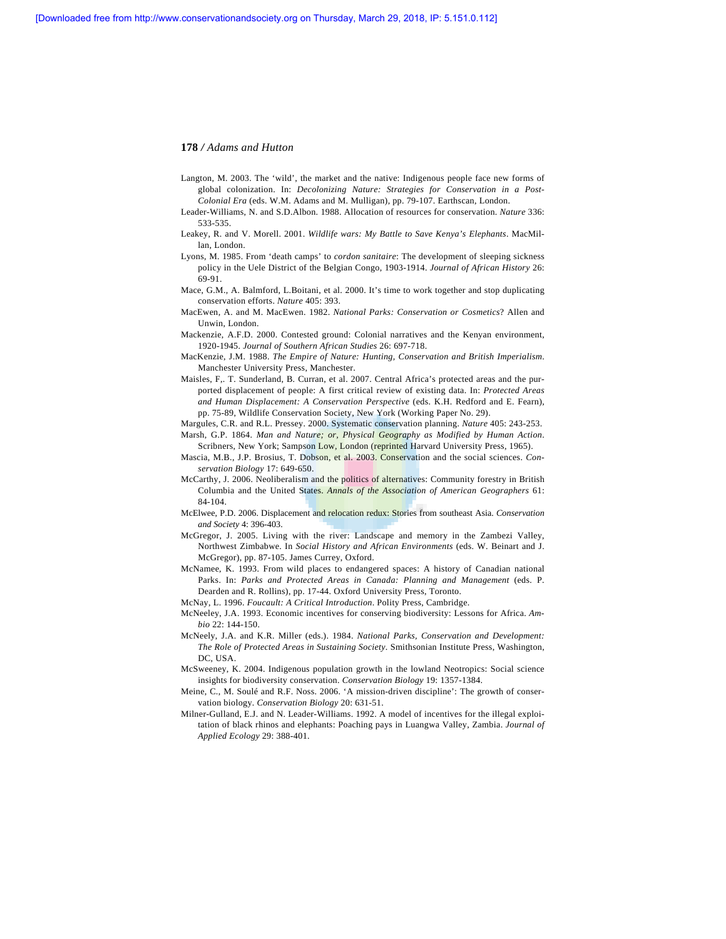- Langton, M. 2003. The 'wild', the market and the native: Indigenous people face new forms of global colonization. In: *Decolonizing Nature: Strategies for Conservation in a Post-Colonial Era* (eds. W.M. Adams and M. Mulligan), pp. 79-107. Earthscan, London.
- Leader-Williams, N. and S.D.Albon. 1988. Allocation of resources for conservation. *Nature* 336: 533-535.
- Leakey, R. and V. Morell. 2001. *Wildlife wars: My Battle to Save Kenya's Elephants*. MacMillan, London.
- Lyons, M. 1985. From 'death camps' to *cordon sanitaire*: The development of sleeping sickness policy in the Uele District of the Belgian Congo, 1903-1914. *Journal of African History* 26: 69-91.
- Mace, G.M., A. Balmford, L.Boitani, et al. 2000. It's time to work together and stop duplicating conservation efforts. *Nature* 405: 393.
- MacEwen, A. and M. MacEwen. 1982. *National Parks: Conservation or Cosmetics*? Allen and Unwin, London.
- Mackenzie, A.F.D. 2000. Contested ground: Colonial narratives and the Kenyan environment, 1920-1945. *Journal of Southern African Studies* 26: 697-718.
- MacKenzie, J.M. 1988. *The Empire of Nature: Hunting, Conservation and British Imperialism*. Manchester University Press, Manchester.
- Maisles, F,. T. Sunderland, B. Curran, et al. 2007. Central Africa's protected areas and the purported displacement of people: A first critical review of existing data. In: *Protected Areas and Human Displacement: A Conservation Perspective* (eds. K.H. Redford and E. Fearn), pp. 75-89, Wildlife Conservation Society, New York (Working Paper No. 29).
- Margules, C.R. and R.L. Pressey. 2000. Systematic conservation planning. *Nature* 405: 243-253. Marsh, G.P. 1864. *Man and Nature; or, Physical Geography as Modified by Human Action*.
- Scribners, New York; Sampson Low, London (reprinted Harvard University Press, 1965).
- Mascia, M.B., J.P. Brosius, T. Dobson, et al. 2003. Conservation and the social sciences. *Conservation Biology* 17: 649-650.
- McCarthy, J. 2006. Neoliberalism and the politics of alternatives: Community forestry in British Columbia and the United States. *Annals of the Association of American Geographers* 61: 84-104.
- McElwee, P.D. 2006. Displacement and relocation redux: Stories from southeast Asia. *Conservation and Society* 4: 396-403.
- McGregor, J. 2005. Living with the river: Landscape and memory in the Zambezi Valley, Northwest Zimbabwe. In *Social History and African Environments* (eds. W. Beinart and J. McGregor), pp. 87-105. James Currey, Oxford.
- McNamee, K. 1993. From wild places to endangered spaces: A history of Canadian national Parks. In: *Parks and Protected Areas in Canada: Planning and Management* (eds. P. Dearden and R. Rollins), pp. 17-44. Oxford University Press, Toronto.
- McNay, L. 1996. *Foucault: A Critical Introduction*. Polity Press, Cambridge.
- McNeeley, J.A. 1993. Economic incentives for conserving biodiversity: Lessons for Africa. *Ambio* 22: 144-150.
- McNeely, J.A. and K.R. Miller (eds.). 1984. *National Parks, Conservation and Development: The Role of Protected Areas in Sustaining Society*. Smithsonian Institute Press, Washington, DC, USA.
- McSweeney, K. 2004. Indigenous population growth in the lowland Neotropics: Social science insights for biodiversity conservation. *Conservation Biology* 19: 1357-1384.
- Meine, C., M. Soulé and R.F. Noss. 2006. 'A mission-driven discipline': The growth of conservation biology. *Conservation Biology* 20: 631-51.
- Milner-Gulland, E.J. and N. Leader-Williams. 1992. A model of incentives for the illegal exploitation of black rhinos and elephants: Poaching pays in Luangwa Valley, Zambia. *Journal of Applied Ecology* 29: 388-401.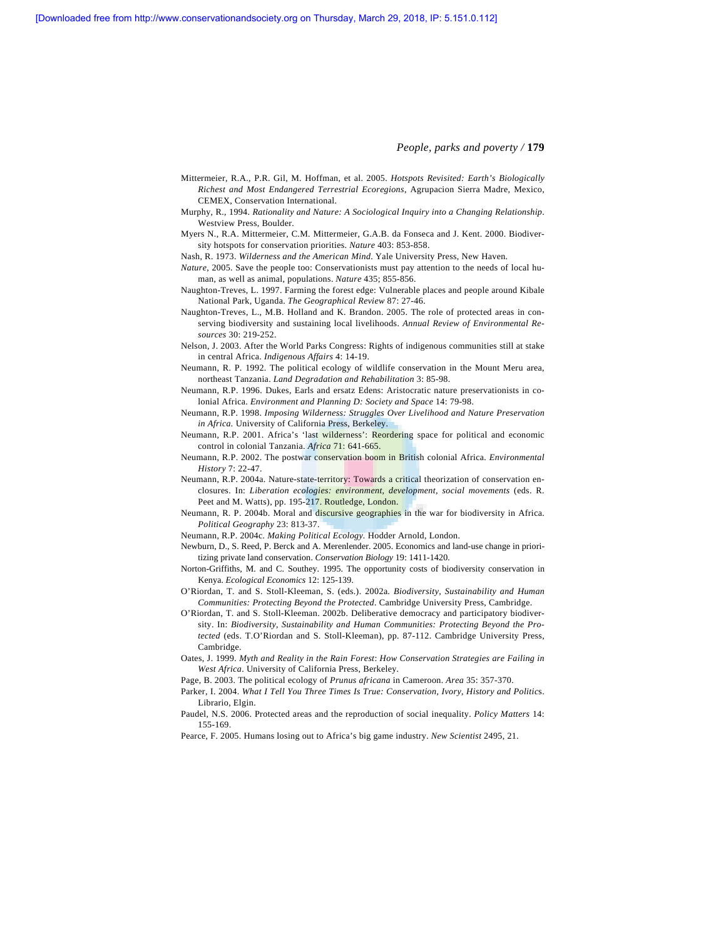- Mittermeier, R.A., P.R. Gil, M. Hoffman, et al. 2005. *Hotspots Revisited: Earth's Biologically Richest and Most Endangered Terrestrial Ecoregions*, Agrupacion Sierra Madre, Mexico, CEMEX, Conservation International.
- Murphy, R., 1994. *Rationality and Nature: A Sociological Inquiry into a Changing Relationship*. Westview Press, Boulder.
- Myers N., R.A. Mittermeier, C.M. Mittermeier, G.A.B. da Fonseca and J. Kent. 2000. Biodiversity hotspots for conservation priorities. *Nature* 403: 853-858.
- Nash, R. 1973. *Wilderness and the American Mind*. Yale University Press, New Haven.
- *Nature*, 2005. Save the people too: Conservationists must pay attention to the needs of local human, as well as animal, populations. *Nature* 435; 855-856.
- Naughton-Treves, L. 1997. Farming the forest edge: Vulnerable places and people around Kibale National Park, Uganda. *The Geographical Review* 87: 27-46.
- Naughton-Treves, L., M.B. Holland and K. Brandon. 2005. The role of protected areas in conserving biodiversity and sustaining local livelihoods. *Annual Review of Environmental Resources* 30: 219-252.
- Nelson, J. 2003. After the World Parks Congress: Rights of indigenous communities still at stake in central Africa. *Indigenous Affairs* 4: 14-19.
- Neumann, R. P. 1992. The political ecology of wildlife conservation in the Mount Meru area, northeast Tanzania. *Land Degradation and Rehabilitation* 3: 85-98.
- Neumann, R.P. 1996. Dukes, Earls and ersatz Edens: Aristocratic nature preservationists in colonial Africa. *Environment and Planning D: Society and Space* 14: 79-98.
- Neumann, R.P. 1998. *Imposing Wilderness: Struggles Over Livelihood and Nature Preservation in Africa.* University of California Press, Berkeley.
- Neumann, R.P. 2001. Africa's 'last wilderness': Reordering space for political and economic control in colonial Tanzania. *Africa* 71: 641-665.
- Neumann, R.P. 2002. The postwar conservation boom in British colonial Africa. *Environmental History* 7: 22-47.
- Neumann, R.P. 2004a. Nature-state-territory: Towards a critical theorization of conservation enclosures. In: *Liberation ecologies: environment, development, social movements* (eds. R. Peet and M. Watts), pp. 195-217. Routledge, London.
- Neumann, R. P. 2004b. Moral and discursive geographies in the war for biodiversity in Africa. *Political Geography* 23: 813-37.
- Neumann, R.P. 2004c. *Making Political Ecology.* Hodder Arnold, London.
- Newburn, D., S. Reed, P. Berck and A. Merenlender. 2005. Economics and land-use change in prioritizing private land conservation. *Conservation Biology* 19: 1411-1420.
- Norton-Griffiths, M. and C. Southey. 1995. The opportunity costs of biodiversity conservation in Kenya. *Ecological Economics* 12: 125-139.
- O'Riordan, T. and S. Stoll-Kleeman, S. (eds.). 2002a. *Biodiversity, Sustainability and Human Communities: Protecting Beyond the Protected*. Cambridge University Press, Cambridge.
- O'Riordan, T. and S. Stoll-Kleeman. 2002b. Deliberative democracy and participatory biodiversity. In: *Biodiversity, Sustainability and Human Communities: Protecting Beyond the Protected* (eds. T.O'Riordan and S. Stoll-Kleeman), pp. 87-112. Cambridge University Press, Cambridge.
- Oates, J. 1999. *Myth and Reality in the Rain Forest*: *How Conservation Strategies are Failing in West Africa*. University of California Press, Berkeley.
- Page, B. 2003. The political ecology of *Prunus africana* in Cameroon. *Area* 35: 357-370.
- Parker, I. 2004. What I Tell You Three Times Is True: Conservation, Ivory, History and Politics. Librario, Elgin.
- Paudel, N.S. 2006. Protected areas and the reproduction of social inequality. *Policy Matters* 14: 155-169.
- Pearce, F. 2005. Humans losing out to Africa's big game industry. *New Scientist* 2495, 21.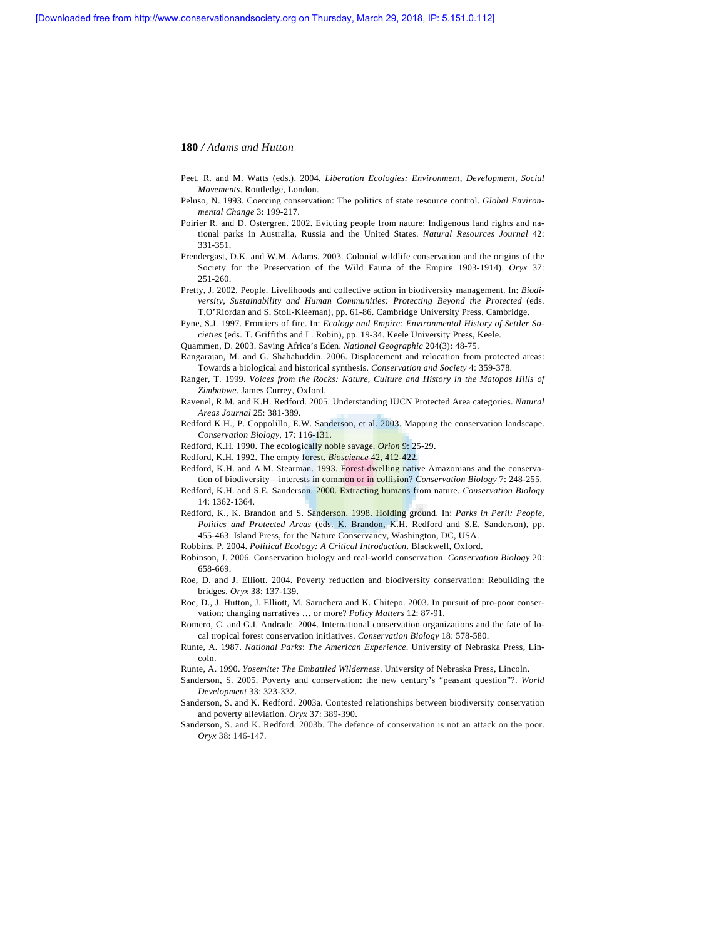- Peet. R. and M. Watts (eds.). 2004. *Liberation Ecologies: Environment, Development, Social Movements*. Routledge, London.
- Peluso, N. 1993. Coercing conservation: The politics of state resource control. *Global Environmental Change* 3: 199-217.
- Poirier R. and D. Ostergren. 2002. Evicting people from nature: Indigenous land rights and national parks in Australia, Russia and the United States. *Natural Resources Journal* 42: 331-351.
- Prendergast, D.K. and W.M. Adams. 2003. Colonial wildlife conservation and the origins of the Society for the Preservation of the Wild Fauna of the Empire 1903-1914). *Oryx* 37: 251-260.
- Pretty, J. 2002. People. Livelihoods and collective action in biodiversity management. In: *Biodiversity, Sustainability and Human Communities: Protecting Beyond the Protected* (eds. T.O'Riordan and S. Stoll-Kleeman), pp. 61-86. Cambridge University Press, Cambridge.
- Pyne, S.J. 1997. Frontiers of fire. In: *Ecology and Empire: Environmental History of Settler Societies* (eds. T. Griffiths and L. Robin), pp. 19-34. Keele University Press, Keele.
- Quammen, D. 2003. Saving Africa's Eden. *National Geographic* 204(3): 48-75.
- Rangarajan, M. and G. Shahabuddin. 2006. Displacement and relocation from protected areas: Towards a biological and historical synthesis. *Conservation and Society* 4: 359-378.
- Ranger, T. 1999. *Voices from the Rocks: Nature, Culture and History in the Matopos Hills of Zimbabwe*. James Currey, Oxford.
- Ravenel, R.M. and K.H. Redford. 2005. Understanding IUCN Protected Area categories. *Natural Areas Journal* 25: 381-389.
- Redford K.H., P. Coppolillo, E.W. Sanderson, et al. 2003. Mapping the conservation landscape. *Conservation Biology*, 17: 116-131.
- Redford, K.H. 1990. The ecologically noble savage. *Orion* 9: 25-29.
- Redford, K.H. 1992. The empty forest. *Bioscience* 42, 412-422.
- Redford, K.H. and A.M. Stearman. 1993. Forest-dwelling native Amazonians and the conservation of biodiversity—interests in common or in collision? *Conservation Biology* 7: 248-255.
- Redford, K.H. and S.E. Sanderson. 2000. Extracting humans from nature. *Conservation Biology* 14: 1362-1364.
- Redford, K., K. Brandon and S. Sanderson. 1998. Holding ground. In: *Parks in Peril: People, Politics and Protected Areas* (eds. K. Brandon, K.H. Redford and S.E. Sanderson), pp. 455-463. Island Press, for the Nature Conservancy, Washington, DC, USA.
- Robbins, P. 2004. *Political Ecology: A Critical Introduction*. Blackwell, Oxford.
- Robinson, J. 2006. Conservation biology and real-world conservation. *Conservation Biology* 20: 658-669.
- Roe, D. and J. Elliott. 2004. Poverty reduction and biodiversity conservation: Rebuilding the bridges. *Oryx* 38: 137-139.
- Roe, D., J. Hutton, J. Elliott, M. Saruchera and K. Chitepo. 2003. In pursuit of pro-poor conservation; changing narratives … or more? *Policy Matters* 12: 87-91.
- Romero, C. and G.I. Andrade. 2004. International conservation organizations and the fate of local tropical forest conservation initiatives. *Conservation Biology* 18: 578-580.
- Runte, A. 1987. *National Parks*: *The American Experience*. University of Nebraska Press, Lincoln.
- Runte, A. 1990. *Yosemite: The Embattled Wilderness*. University of Nebraska Press, Lincoln.
- Sanderson, S. 2005. Poverty and conservation: the new century's "peasant question"?. *World Development* 33: 323-332.
- Sanderson, S. and K. Redford. 2003a. Contested relationships between biodiversity conservation and poverty alleviation. *Oryx* 37: 389-390.
- Sanderson, S. and K. Redford. 2003b. The defence of conservation is not an attack on the poor. *Oryx* 38: 146-147.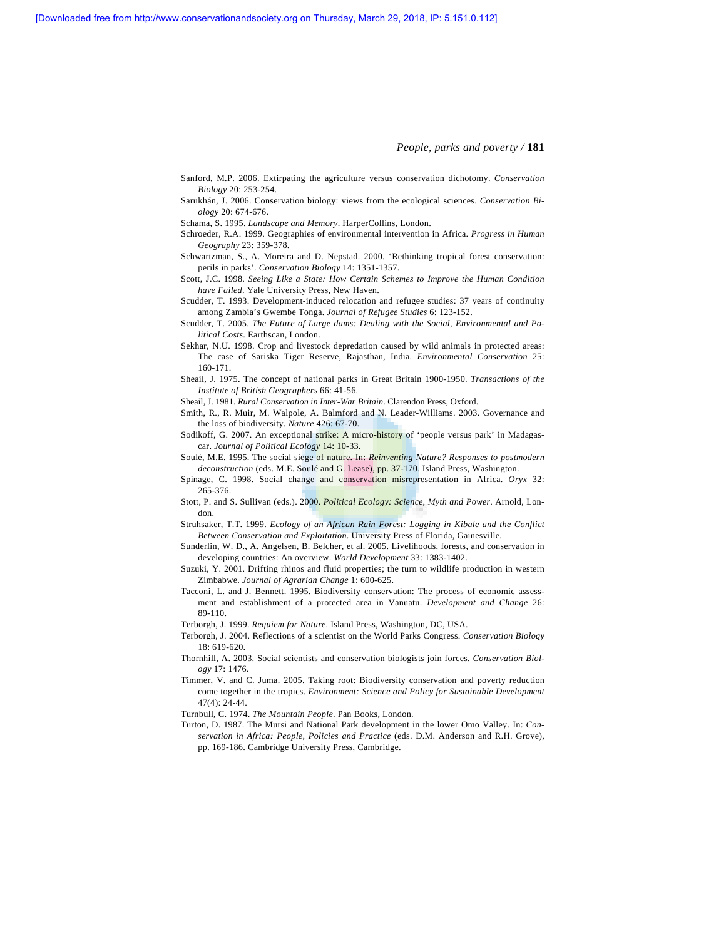- Sanford, M.P. 2006. Extirpating the agriculture versus conservation dichotomy. *Conservation Biology* 20: 253-254.
- Sarukhán, J. 2006. Conservation biology: views from the ecological sciences. *Conservation Biology* 20: 674-676.
- Schama, S. 1995. *Landscape and Memory*. HarperCollins, London.
- Schroeder, R.A. 1999. Geographies of environmental intervention in Africa. *Progress in Human Geography* 23: 359-378.
- Schwartzman, S., A. Moreira and D. Nepstad. 2000. 'Rethinking tropical forest conservation: perils in parks'. *Conservation Biology* 14: 1351-1357.
- Scott, J.C. 1998. *Seeing Like a State: How Certain Schemes to Improve the Human Condition have Failed*. Yale University Press, New Haven.
- Scudder, T. 1993. Development-induced relocation and refugee studies: 37 years of continuity among Zambia's Gwembe Tonga. *Journal of Refugee Studies* 6: 123-152.
- Scudder, T. 2005. *The Future of Large dams: Dealing with the Social, Environmental and Political Costs*. Earthscan, London.
- Sekhar, N.U. 1998. Crop and livestock depredation caused by wild animals in protected areas: The case of Sariska Tiger Reserve, Rajasthan, India. *Environmental Conservation* 25: 160-171.
- Sheail, J. 1975. The concept of national parks in Great Britain 1900-1950. *Transactions of the Institute of British Geographers* 66: 41-56.
- Sheail, J. 1981. *Rural Conservation in Inter-War Britain*. Clarendon Press, Oxford.
- Smith, R., R. Muir, M. Walpole, A. Balmford and N. Leader-Williams. 2003. Governance and the loss of biodiversity. *Nature* 426: 67-70.
- Sodikoff, G. 2007. An exceptional strike: A micro-history of 'people versus park' in Madagascar. *Journal of Political Ecology* 14: 10-33.
- Soulé, M.E. 1995. The social siege of nature. In: *Reinventing Nature? Responses to postmodern deconstruction* (eds. M.E. Soulé and G. Lease), pp. 37-170. Island Press, Washington.
- Spinage, C. 1998. Social change and conservation misrepresentation in Africa. *Oryx* 32: 265-376.
- Stott, P. and S. Sullivan (eds.). 2000. *Political Ecology: Science, Myth and Power*. Arnold, London.
- Struhsaker, T.T. 1999. *Ecology of an African Rain Forest: Logging in Kibale and the Conflict Between Conservation and Exploitation*. University Press of Florida, Gainesville.
- Sunderlin, W. D., A. Angelsen, B. Belcher, et al. 2005. Livelihoods, forests, and conservation in developing countries: An overview. *World Development* 33: 1383-1402.
- Suzuki, Y. 2001. Drifting rhinos and fluid properties; the turn to wildlife production in western Zimbabwe. *Journal of Agrarian Change* 1: 600-625.
- Tacconi, L. and J. Bennett. 1995. Biodiversity conservation: The process of economic assessment and establishment of a protected area in Vanuatu. *Development and Change* 26: 89-110.
- Terborgh, J. 1999. *Requiem for Nature*. Island Press, Washington, DC, USA.
- Terborgh, J. 2004. Reflections of a scientist on the World Parks Congress. *Conservation Biology* 18: 619-620.
- Thornhill, A. 2003. Social scientists and conservation biologists join forces. *Conservation Biology* 17: 1476.
- Timmer, V. and C. Juma. 2005. Taking root: Biodiversity conservation and poverty reduction come together in the tropics. *Environment: Science and Policy for Sustainable Development* 47(4): 24-44.
- Turnbull, C. 1974. *The Mountain People*. Pan Books, London.
- Turton, D. 1987. The Mursi and National Park development in the lower Omo Valley. In: *Conservation in Africa: People, Policies and Practice* (eds. D.M. Anderson and R.H. Grove), pp. 169-186. Cambridge University Press, Cambridge.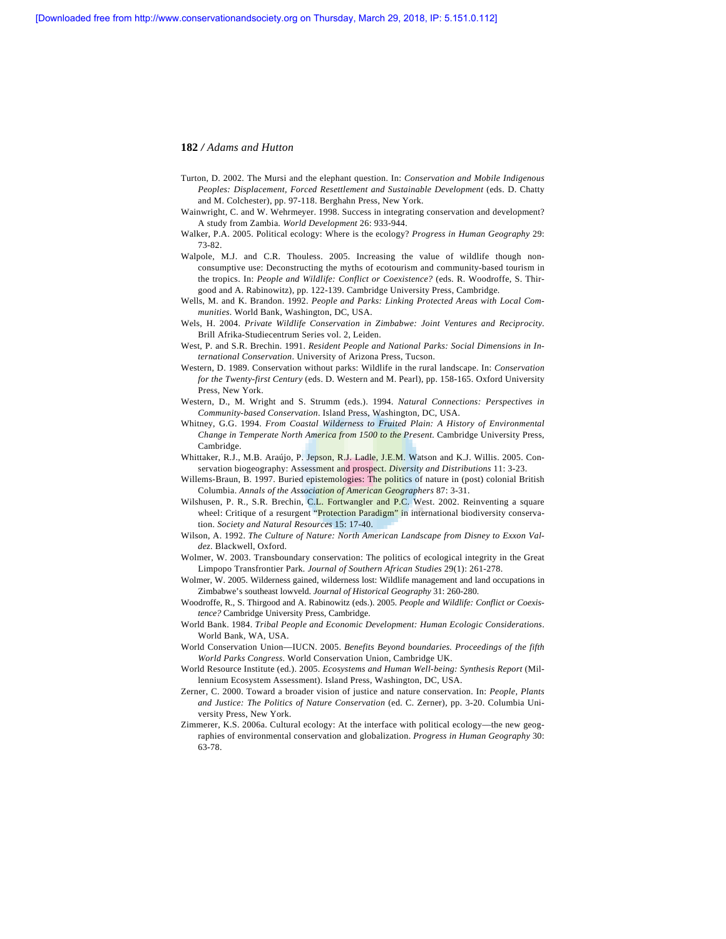- Turton, D. 2002. The Mursi and the elephant question. In: *Conservation and Mobile Indigenous Peoples: Displacement, Forced Resettlement and Sustainable Development* (eds. D. Chatty and M. Colchester), pp. 97-118. Berghahn Press, New York.
- Wainwright, C. and W. Wehrmeyer. 1998. Success in integrating conservation and development? A study from Zambia. *World Development* 26: 933-944.
- Walker, P.A. 2005. Political ecology: Where is the ecology? *Progress in Human Geography* 29: 73-82.
- Walpole, M.J. and C.R. Thouless. 2005. Increasing the value of wildlife though nonconsumptive use: Deconstructing the myths of ecotourism and community-based tourism in the tropics. In: *People and Wildlife: Conflict or Coexistence?* (eds. R. Woodroffe, S. Thirgood and A. Rabinowitz), pp. 122-139. Cambridge University Press, Cambridge.
- Wells, M. and K. Brandon. 1992. *People and Parks: Linking Protected Areas with Local Communities*. World Bank, Washington, DC, USA.
- Wels, H. 2004. *Private Wildlife Conservation in Zimbabwe: Joint Ventures and Reciprocity*. Brill Afrika-Studiecentrum Series vol. 2, Leiden.
- West, P. and S.R. Brechin. 1991. *Resident People and National Parks: Social Dimensions in International Conservation*. University of Arizona Press, Tucson.
- Western, D. 1989. Conservation without parks: Wildlife in the rural landscape. In: *Conservation for the Twenty-first Century* (eds. D. Western and M. Pearl), pp. 158-165. Oxford University Press, New York.
- Western, D., M. Wright and S. Strumm (eds.). 1994. *Natural Connections: Perspectives in Community-based Conservation*. Island Press, Washington, DC, USA.
- Whitney, G.G. 1994. *From Coastal Wilderness to Fruited Plain: A History of Environmental Change in Temperate North America from 1500 to the Present*. Cambridge University Press, Cambridge.
- Whittaker, R.J., M.B. Araújo, P. Jepson, R.J. Ladle, J.E.M. Watson and K.J. Willis. 2005. Conservation biogeography: Assessment and prospect. *Diversity and Distributions* 11: 3-23.
- Willems-Braun, B. 1997. Buried epistemologies: The politics of nature in (post) colonial British Columbia. *Annals of the Association of American Geographers* 87: 3-31.
- Wilshusen, P. R., S.R. Brechin, C.L. Fortwangler and P.C. West. 2002. Reinventing a square wheel: Critique of a resurgent "Protection Paradigm" in international biodiversity conservation. *Society and Natural Resources* 15: 17-40.
- Wilson, A. 1992. *The Culture of Nature: North American Landscape from Disney to Exxon Valdez*. Blackwell, Oxford.
- Wolmer, W. 2003. Transboundary conservation: The politics of ecological integrity in the Great Limpopo Transfrontier Park*. Journal of Southern African Studies* 29(1): 261-278.
- Wolmer, W. 2005. Wilderness gained, wilderness lost: Wildlife management and land occupations in Zimbabwe's southeast lowveld. *Journal of Historical Geography* 31: 260-280.
- Woodroffe, R., S. Thirgood and A. Rabinowitz (eds.). 2005. *People and Wildlife: Conflict or Coexistence?* Cambridge University Press, Cambridge.
- World Bank. 1984. *Tribal People and Economic Development: Human Ecologic Considerations*. World Bank, WA, USA.
- World Conservation Union—IUCN. 2005. *Benefits Beyond boundaries. Proceedings of the fifth World Parks Congress*. World Conservation Union, Cambridge UK.
- World Resource Institute (ed.). 2005. *Ecosystems and Human Well-being: Synthesis Report* (Millennium Ecosystem Assessment). Island Press, Washington, DC, USA.
- Zerner, C. 2000. Toward a broader vision of justice and nature conservation. In: *People, Plants and Justice: The Politics of Nature Conservation* (ed. C. Zerner), pp. 3-20. Columbia University Press, New York.
- Zimmerer, K.S. 2006a. Cultural ecology: At the interface with political ecology—the new geographies of environmental conservation and globalization. *Progress in Human Geography* 30: 63-78.